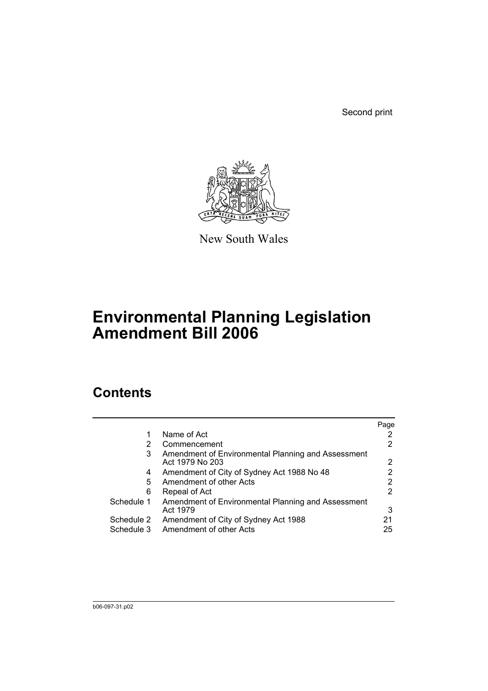Second print



New South Wales

# **Environmental Planning Legislation Amendment Bill 2006**

# **Contents**

|            |                                                                       | Page |
|------------|-----------------------------------------------------------------------|------|
|            | Name of Act                                                           |      |
| 2          | Commencement                                                          | 2    |
| 3          | Amendment of Environmental Planning and Assessment<br>Act 1979 No 203 | 2    |
| 4          | Amendment of City of Sydney Act 1988 No 48                            |      |
| 5          | Amendment of other Acts                                               | 2    |
| 6          | Repeal of Act                                                         | 2    |
| Schedule 1 | Amendment of Environmental Planning and Assessment<br>Act 1979        | 3    |
| Schedule 2 | Amendment of City of Sydney Act 1988                                  | 21   |
| Schedule 3 | Amendment of other Acts                                               | 25   |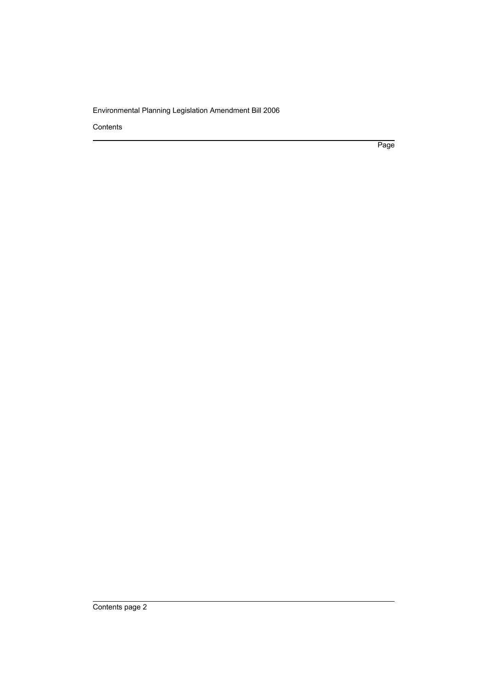Contents

Page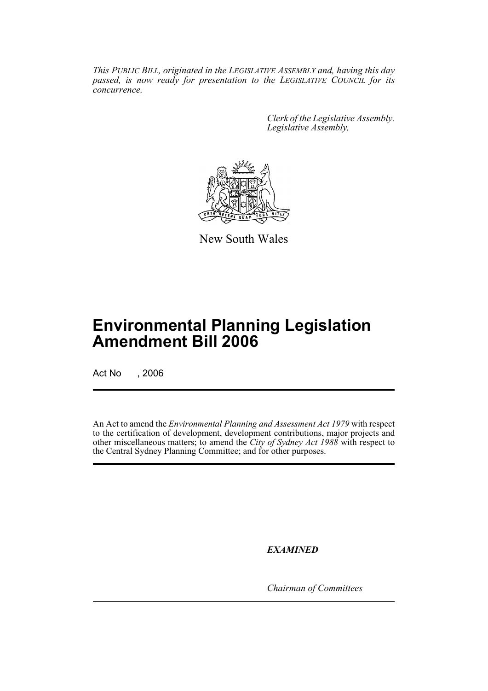*This PUBLIC BILL, originated in the LEGISLATIVE ASSEMBLY and, having this day passed, is now ready for presentation to the LEGISLATIVE COUNCIL for its concurrence.*

> *Clerk of the Legislative Assembly. Legislative Assembly,*



New South Wales

# **Environmental Planning Legislation Amendment Bill 2006**

Act No , 2006

An Act to amend the *Environmental Planning and Assessment Act 1979* with respect to the certification of development, development contributions, major projects and other miscellaneous matters; to amend the *City of Sydney Act 1988* with respect to the Central Sydney Planning Committee; and for other purposes.

*EXAMINED*

*Chairman of Committees*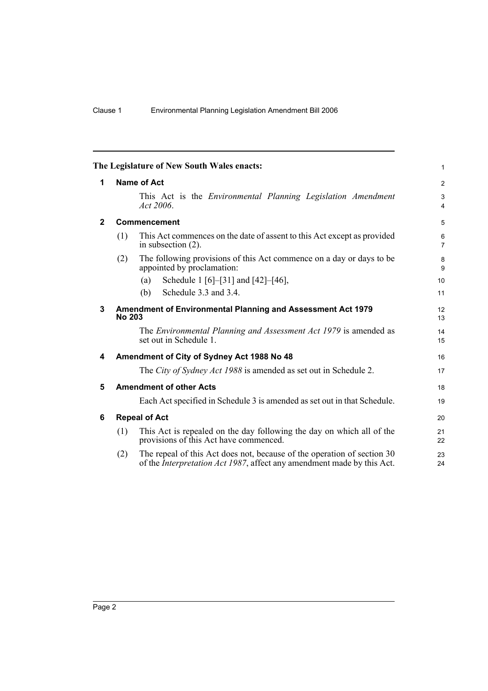<span id="page-3-5"></span><span id="page-3-4"></span><span id="page-3-3"></span><span id="page-3-2"></span><span id="page-3-1"></span><span id="page-3-0"></span>

| The Legislature of New South Wales enacts: |               |                                                                                                                                                           |                     |  |  |
|--------------------------------------------|---------------|-----------------------------------------------------------------------------------------------------------------------------------------------------------|---------------------|--|--|
| 1                                          |               | <b>Name of Act</b>                                                                                                                                        | $\overline{2}$      |  |  |
|                                            |               | This Act is the <i>Environmental Planning Legislation Amendment</i><br>Act 2006.                                                                          | 3<br>$\overline{4}$ |  |  |
| $\mathbf{2}$                               |               | Commencement                                                                                                                                              | 5                   |  |  |
|                                            | (1)           | This Act commences on the date of assent to this Act except as provided<br>in subsection $(2)$ .                                                          | 6<br>$\overline{7}$ |  |  |
|                                            | (2)           | The following provisions of this Act commence on a day or days to be<br>appointed by proclamation:                                                        | 8<br>9              |  |  |
|                                            |               | Schedule 1 [6]-[31] and [42]-[46],<br>(a)                                                                                                                 | 10                  |  |  |
|                                            |               | Schedule 3.3 and 3.4.<br>(b)                                                                                                                              | 11                  |  |  |
| 3                                          | <b>No 203</b> | Amendment of Environmental Planning and Assessment Act 1979                                                                                               | 12<br>13            |  |  |
|                                            |               | The Environmental Planning and Assessment Act 1979 is amended as<br>set out in Schedule 1.                                                                | 14<br>15            |  |  |
| 4                                          |               | Amendment of City of Sydney Act 1988 No 48                                                                                                                | 16                  |  |  |
|                                            |               | The City of Sydney Act 1988 is amended as set out in Schedule 2.                                                                                          | 17                  |  |  |
| 5                                          |               | <b>Amendment of other Acts</b>                                                                                                                            | 18                  |  |  |
|                                            |               | Each Act specified in Schedule 3 is amended as set out in that Schedule.                                                                                  | 19                  |  |  |
| 6                                          |               | <b>Repeal of Act</b>                                                                                                                                      | 20                  |  |  |
|                                            | (1)           | This Act is repealed on the day following the day on which all of the<br>provisions of this Act have commenced.                                           | 21<br>22            |  |  |
|                                            | (2)           | The repeal of this Act does not, because of the operation of section 30<br>of the <i>Interpretation Act 1987</i> , affect any amendment made by this Act. | 23<br>24            |  |  |
|                                            |               |                                                                                                                                                           |                     |  |  |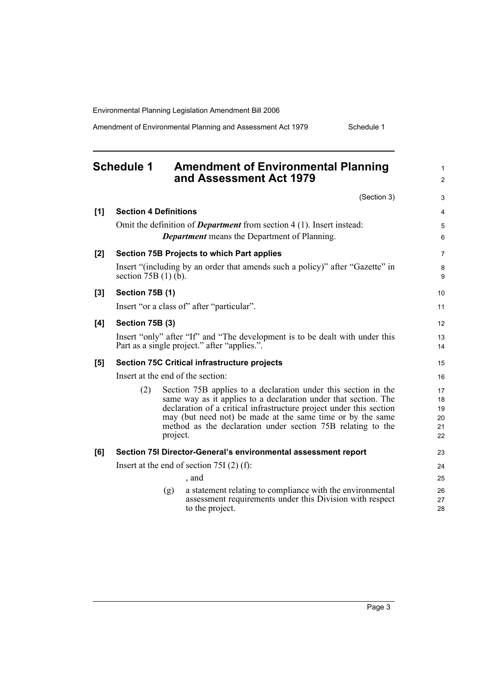Amendment of Environmental Planning and Assessment Act 1979 Schedule 1

<span id="page-4-0"></span>

|     | <b>Schedule 1</b>            |          | <b>Amendment of Environmental Planning</b><br>and Assessment Act 1979                                                                                                                                                                                                                                                                 | $\mathbf{1}$<br>$\overline{2}$   |
|-----|------------------------------|----------|---------------------------------------------------------------------------------------------------------------------------------------------------------------------------------------------------------------------------------------------------------------------------------------------------------------------------------------|----------------------------------|
|     |                              |          | (Section 3)                                                                                                                                                                                                                                                                                                                           | 3                                |
| [1] | <b>Section 4 Definitions</b> |          |                                                                                                                                                                                                                                                                                                                                       | 4                                |
|     |                              |          | Omit the definition of <i>Department</i> from section $4(1)$ . Insert instead:<br><b>Department</b> means the Department of Planning.                                                                                                                                                                                                 | 5<br>6                           |
| [2] |                              |          | <b>Section 75B Projects to which Part applies</b>                                                                                                                                                                                                                                                                                     | $\overline{7}$                   |
|     | section $75B(1)$ (b).        |          | Insert "(including by an order that amends such a policy)" after "Gazette" in                                                                                                                                                                                                                                                         | 8<br>9                           |
| [3] | <b>Section 75B (1)</b>       |          |                                                                                                                                                                                                                                                                                                                                       | 10                               |
|     |                              |          | Insert "or a class of" after "particular".                                                                                                                                                                                                                                                                                            | 11                               |
| [4] | Section 75B (3)              |          |                                                                                                                                                                                                                                                                                                                                       | 12                               |
|     |                              |          | Insert "only" after "If" and "The development is to be dealt with under this<br>Part as a single project." after "applies.".                                                                                                                                                                                                          | 13<br>14                         |
| [5] |                              |          | <b>Section 75C Critical infrastructure projects</b>                                                                                                                                                                                                                                                                                   | 15                               |
|     |                              |          | Insert at the end of the section:                                                                                                                                                                                                                                                                                                     | 16                               |
|     | (2)                          | project. | Section 75B applies to a declaration under this section in the<br>same way as it applies to a declaration under that section. The<br>declaration of a critical infrastructure project under this section<br>may (but need not) be made at the same time or by the same<br>method as the declaration under section 75B relating to the | 17<br>18<br>19<br>20<br>21<br>22 |
| [6] |                              |          | Section 75I Director-General's environmental assessment report                                                                                                                                                                                                                                                                        | 23                               |
|     |                              |          | Insert at the end of section 75I $(2)$ (f):                                                                                                                                                                                                                                                                                           | 24                               |
|     |                              |          | , and                                                                                                                                                                                                                                                                                                                                 | 25                               |
|     |                              | (g)      | a statement relating to compliance with the environmental<br>assessment requirements under this Division with respect<br>to the project.                                                                                                                                                                                              | 26<br>27<br>28                   |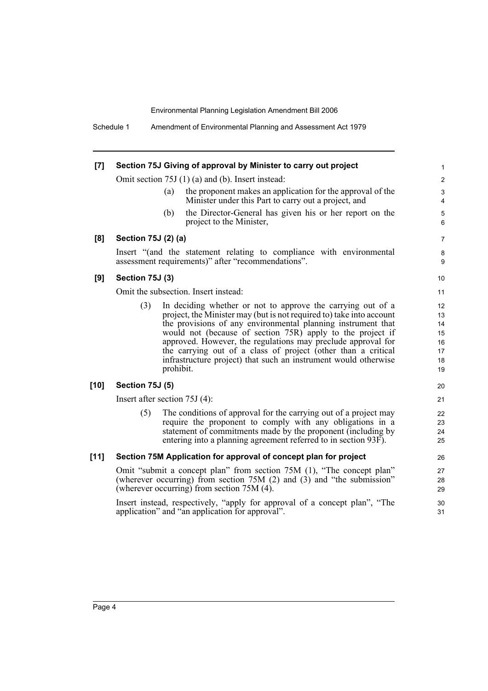Schedule 1 Amendment of Environmental Planning and Assessment Act 1979

| [7]    |                                 |           | Section 75J Giving of approval by Minister to carry out project                                                                                                                                                                                                                                                                                                                                                                                                       | $\mathbf{1}$                                                |
|--------|---------------------------------|-----------|-----------------------------------------------------------------------------------------------------------------------------------------------------------------------------------------------------------------------------------------------------------------------------------------------------------------------------------------------------------------------------------------------------------------------------------------------------------------------|-------------------------------------------------------------|
|        |                                 |           | Omit section 75J (1) (a) and (b). Insert instead:                                                                                                                                                                                                                                                                                                                                                                                                                     | $\overline{c}$                                              |
|        |                                 | (a)       | the proponent makes an application for the approval of the<br>Minister under this Part to carry out a project, and                                                                                                                                                                                                                                                                                                                                                    | 3<br>$\overline{4}$                                         |
|        |                                 | (b)       | the Director-General has given his or her report on the<br>project to the Minister,                                                                                                                                                                                                                                                                                                                                                                                   | $\mathbf 5$<br>6                                            |
| [8]    | Section 75J (2) (a)             |           |                                                                                                                                                                                                                                                                                                                                                                                                                                                                       | $\overline{7}$                                              |
|        |                                 |           | Insert "(and the statement relating to compliance with environmental<br>assessment requirements)" after "recommendations".                                                                                                                                                                                                                                                                                                                                            | 8<br>9                                                      |
| [9]    | Section 75J (3)                 |           |                                                                                                                                                                                                                                                                                                                                                                                                                                                                       | 10                                                          |
|        |                                 |           | Omit the subsection. Insert instead:                                                                                                                                                                                                                                                                                                                                                                                                                                  | 11                                                          |
|        | (3)                             | prohibit. | In deciding whether or not to approve the carrying out of a<br>project, the Minister may (but is not required to) take into account<br>the provisions of any environmental planning instrument that<br>would not (because of section 75R) apply to the project if<br>approved. However, the regulations may preclude approval for<br>the carrying out of a class of project (other than a critical<br>infrastructure project) that such an instrument would otherwise | $12 \overline{ }$<br>13<br>14<br>15<br>16<br>17<br>18<br>19 |
| $[10]$ | <b>Section 75J (5)</b>          |           |                                                                                                                                                                                                                                                                                                                                                                                                                                                                       | 20                                                          |
|        | Insert after section $75J(4)$ : |           |                                                                                                                                                                                                                                                                                                                                                                                                                                                                       | 21                                                          |
|        | (5)                             |           | The conditions of approval for the carrying out of a project may<br>require the proponent to comply with any obligations in a<br>statement of commitments made by the proponent (including by<br>entering into a planning agreement referred to in section 93F).                                                                                                                                                                                                      | 22<br>23<br>24<br>25                                        |
| $[11]$ |                                 |           | Section 75M Application for approval of concept plan for project                                                                                                                                                                                                                                                                                                                                                                                                      | 26                                                          |
|        |                                 |           | Omit "submit a concept plan" from section 75M (1), "The concept plan"<br>(wherever occurring) from section 75M (2) and (3) and "the submission"<br>(wherever occurring) from section 75M (4).                                                                                                                                                                                                                                                                         | 27<br>28<br>29                                              |
|        |                                 |           | Insert instead, respectively, "apply for approval of a concept plan", "The<br>application" and "an application for approval".                                                                                                                                                                                                                                                                                                                                         | 30<br>31                                                    |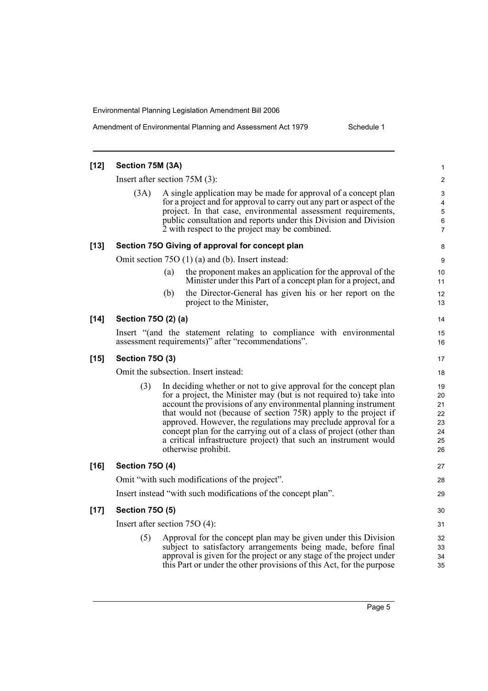Amendment of Environmental Planning and Assessment Act 1979 Schedule 1

| $[12]$ | Section 75M (3A)       |                                                                                                                                                                                                                                                                                                                                                                                                                                                                                                                  | 1                                            |
|--------|------------------------|------------------------------------------------------------------------------------------------------------------------------------------------------------------------------------------------------------------------------------------------------------------------------------------------------------------------------------------------------------------------------------------------------------------------------------------------------------------------------------------------------------------|----------------------------------------------|
|        |                        | Insert after section $75M(3)$ :                                                                                                                                                                                                                                                                                                                                                                                                                                                                                  | $\overline{c}$                               |
|        | (3A)                   | A single application may be made for approval of a concept plan<br>for a project and for approval to carry out any part or aspect of the<br>project. In that case, environmental assessment requirements,<br>public consultation and reports under this Division and Division<br>2 with respect to the project may be combined.                                                                                                                                                                                  | 3<br>4<br>5<br>6<br>7                        |
| $[13]$ |                        | Section 750 Giving of approval for concept plan                                                                                                                                                                                                                                                                                                                                                                                                                                                                  | 8                                            |
|        |                        | Omit section 75O (1) (a) and (b). Insert instead:                                                                                                                                                                                                                                                                                                                                                                                                                                                                | 9                                            |
|        |                        | the proponent makes an application for the approval of the<br>(a)<br>Minister under this Part of a concept plan for a project, and                                                                                                                                                                                                                                                                                                                                                                               | 10<br>11                                     |
|        |                        | the Director-General has given his or her report on the<br>(b)<br>project to the Minister,                                                                                                                                                                                                                                                                                                                                                                                                                       | 12<br>13                                     |
| $[14]$ | Section 750 (2) (a)    |                                                                                                                                                                                                                                                                                                                                                                                                                                                                                                                  | 14                                           |
|        |                        | Insert "(and the statement relating to compliance with environmental<br>assessment requirements)" after "recommendations".                                                                                                                                                                                                                                                                                                                                                                                       | 15<br>16                                     |
| $[15]$ | <b>Section 750 (3)</b> |                                                                                                                                                                                                                                                                                                                                                                                                                                                                                                                  | 17                                           |
|        |                        | Omit the subsection. Insert instead:                                                                                                                                                                                                                                                                                                                                                                                                                                                                             | 18                                           |
|        | (3)                    | In deciding whether or not to give approval for the concept plan<br>for a project, the Minister may (but is not required to) take into<br>account the provisions of any environmental planning instrument<br>that would not (because of section 75R) apply to the project if<br>approved. However, the regulations may preclude approval for a<br>concept plan for the carrying out of a class of project (other than<br>a critical infrastructure project) that such an instrument would<br>otherwise prohibit. | 19<br>20<br>21<br>22<br>23<br>24<br>25<br>26 |
| $[16]$ | <b>Section 750 (4)</b> |                                                                                                                                                                                                                                                                                                                                                                                                                                                                                                                  | 27                                           |
|        |                        | Omit "with such modifications of the project".                                                                                                                                                                                                                                                                                                                                                                                                                                                                   | 28                                           |
|        |                        | Insert instead "with such modifications of the concept plan".                                                                                                                                                                                                                                                                                                                                                                                                                                                    | 29                                           |
| $[17]$ | <b>Section 750 (5)</b> |                                                                                                                                                                                                                                                                                                                                                                                                                                                                                                                  | 30                                           |
|        |                        | Insert after section $75O(4)$ :                                                                                                                                                                                                                                                                                                                                                                                                                                                                                  | 31                                           |
|        | (5)                    | Approval for the concept plan may be given under this Division<br>subject to satisfactory arrangements being made, before final<br>approval is given for the project or any stage of the project under<br>this Part or under the other provisions of this Act, for the purpose                                                                                                                                                                                                                                   | 32<br>33<br>34<br>35                         |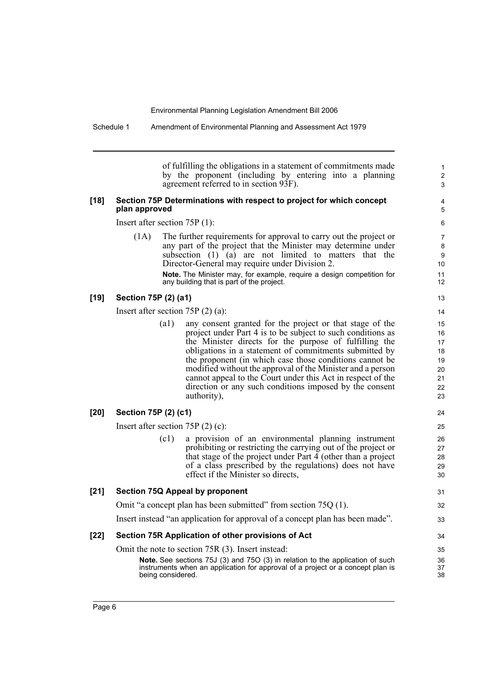Schedule 1 Amendment of Environmental Planning and Assessment Act 1979

of fulfilling the obligations in a statement of commitments made by the proponent (including by entering into a planning agreement referred to in section 93F).

#### **[18] Section 75P Determinations with respect to project for which concept plan approved**

Insert after section 75P (1):

(1A) The further requirements for approval to carry out the project or any part of the project that the Minister may determine under subsection  $(1)$   $(a)$  are not limited to matters that the Director-General may require under Division 2.

**Note.** The Minister may, for example, require a design competition for any building that is part of the project.

### **[19] Section 75P (2) (a1)**

Insert after section 75P (2) (a):

(a1) any consent granted for the project or that stage of the project under Part 4 is to be subject to such conditions as the Minister directs for the purpose of fulfilling the obligations in a statement of commitments submitted by the proponent (in which case those conditions cannot be modified without the approval of the Minister and a person cannot appeal to the Court under this Act in respect of the direction or any such conditions imposed by the consent authority),

Insert after section 75P (2) (c):

(c1) a provision of an environmental planning instrument prohibiting or restricting the carrying out of the project or that stage of the project under Part  $\overline{4}$  (other than a project of a class prescribed by the regulations) does not have effect if the Minister so directs,

#### **[21] Section 75Q Appeal by proponent**

Omit "a concept plan has been submitted" from section 75Q (1).

Insert instead "an application for approval of a concept plan has been made".

#### **[22] Section 75R Application of other provisions of Act**

Omit the note to section 75R (3). Insert instead:

**Note.** See sections 75J (3) and 75O (3) in relation to the application of such instruments when an application for approval of a project or a concept plan is being considered.

13 14 15

1 2 3

24 25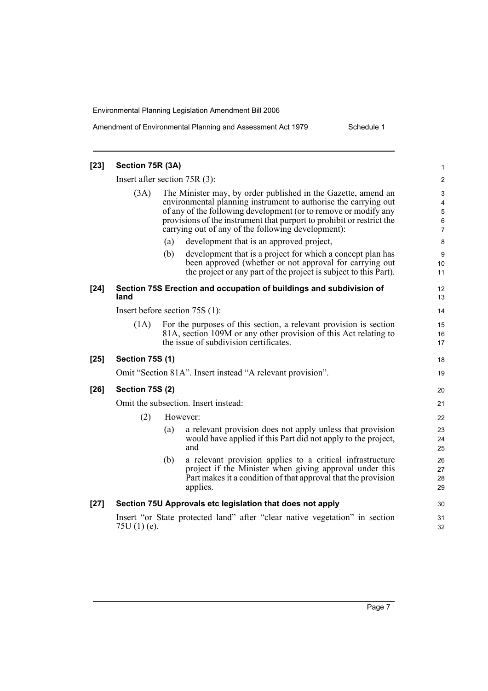Amendment of Environmental Planning and Assessment Act 1979 Schedule 1

| $[23]$ | Section 75R (3A)                     |     |                                                                                                                                                                                                                                                                                                                                    | 1                                  |  |
|--------|--------------------------------------|-----|------------------------------------------------------------------------------------------------------------------------------------------------------------------------------------------------------------------------------------------------------------------------------------------------------------------------------------|------------------------------------|--|
|        | Insert after section $75R(3)$ :      |     |                                                                                                                                                                                                                                                                                                                                    | $\overline{c}$                     |  |
|        | (3A)                                 |     | The Minister may, by order published in the Gazette, amend an<br>environmental planning instrument to authorise the carrying out<br>of any of the following development (or to remove or modify any<br>provisions of the instrument that purport to prohibit or restrict the<br>carrying out of any of the following development): | 3<br>4<br>5<br>6<br>$\overline{7}$ |  |
|        |                                      | (a) | development that is an approved project,                                                                                                                                                                                                                                                                                           | 8                                  |  |
|        |                                      | (b) | development that is a project for which a concept plan has<br>been approved (whether or not approval for carrying out<br>the project or any part of the project is subject to this Part).                                                                                                                                          | 9<br>10<br>11                      |  |
| $[24]$ | land                                 |     | Section 75S Erection and occupation of buildings and subdivision of                                                                                                                                                                                                                                                                | 12<br>13                           |  |
|        |                                      |     | Insert before section $75S(1)$ :                                                                                                                                                                                                                                                                                                   | 14                                 |  |
|        | (1A)                                 |     | For the purposes of this section, a relevant provision is section<br>81A, section 109M or any other provision of this Act relating to<br>the issue of subdivision certificates.                                                                                                                                                    | 15<br>16<br>17                     |  |
| $[25]$ | <b>Section 75S (1)</b>               |     |                                                                                                                                                                                                                                                                                                                                    | 18                                 |  |
|        |                                      |     | Omit "Section 81A". Insert instead "A relevant provision".                                                                                                                                                                                                                                                                         | 19                                 |  |
| $[26]$ | <b>Section 75S (2)</b>               |     |                                                                                                                                                                                                                                                                                                                                    | 20                                 |  |
|        | Omit the subsection. Insert instead: |     |                                                                                                                                                                                                                                                                                                                                    |                                    |  |
|        | (2)                                  |     | However:                                                                                                                                                                                                                                                                                                                           | 22                                 |  |
|        |                                      | (a) | a relevant provision does not apply unless that provision<br>would have applied if this Part did not apply to the project,<br>and                                                                                                                                                                                                  | 23<br>24<br>25                     |  |
|        |                                      | (b) | a relevant provision applies to a critical infrastructure<br>project if the Minister when giving approval under this<br>Part makes it a condition of that approval that the provision<br>applies.                                                                                                                                  | 26<br>27<br>28<br>29               |  |
| $[27]$ |                                      |     | Section 75U Approvals etc legislation that does not apply                                                                                                                                                                                                                                                                          | 30                                 |  |
|        | 75U $(1)$ (e).                       |     | Insert "or State protected land" after "clear native vegetation" in section                                                                                                                                                                                                                                                        | 31<br>32                           |  |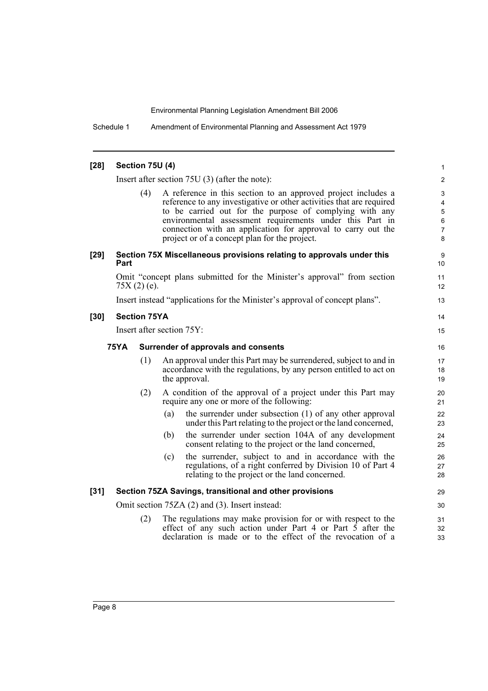Schedule 1 Amendment of Environmental Planning and Assessment Act 1979

| $[28]$                                      | Section 75U (4)                                                                                                                                                                                                |     |                                                                                                                                                                                                                                                                                                                                                                               | 1                                                                    |  |  |
|---------------------------------------------|----------------------------------------------------------------------------------------------------------------------------------------------------------------------------------------------------------------|-----|-------------------------------------------------------------------------------------------------------------------------------------------------------------------------------------------------------------------------------------------------------------------------------------------------------------------------------------------------------------------------------|----------------------------------------------------------------------|--|--|
|                                             |                                                                                                                                                                                                                |     | Insert after section $75U(3)$ (after the note):                                                                                                                                                                                                                                                                                                                               | $\overline{2}$                                                       |  |  |
|                                             |                                                                                                                                                                                                                | (4) | A reference in this section to an approved project includes a<br>reference to any investigative or other activities that are required<br>to be carried out for the purpose of complying with any<br>environmental assessment requirements under this Part in<br>connection with an application for approval to carry out the<br>project or of a concept plan for the project. | 3<br>$\overline{4}$<br>$\mathbf 5$<br>$\,6\,$<br>$\overline{7}$<br>8 |  |  |
| $[29]$                                      | Part                                                                                                                                                                                                           |     | Section 75X Miscellaneous provisions relating to approvals under this                                                                                                                                                                                                                                                                                                         | 9<br>10                                                              |  |  |
|                                             | $75X(2)$ (e).                                                                                                                                                                                                  |     | Omit "concept plans submitted for the Minister's approval" from section                                                                                                                                                                                                                                                                                                       | 11<br>12                                                             |  |  |
|                                             |                                                                                                                                                                                                                |     | Insert instead "applications for the Minister's approval of concept plans".                                                                                                                                                                                                                                                                                                   | 13                                                                   |  |  |
| $[30]$                                      | <b>Section 75YA</b>                                                                                                                                                                                            |     |                                                                                                                                                                                                                                                                                                                                                                               | 14                                                                   |  |  |
|                                             |                                                                                                                                                                                                                |     | Insert after section 75Y:                                                                                                                                                                                                                                                                                                                                                     | 15                                                                   |  |  |
| 75YA<br>Surrender of approvals and consents |                                                                                                                                                                                                                |     |                                                                                                                                                                                                                                                                                                                                                                               |                                                                      |  |  |
|                                             |                                                                                                                                                                                                                | (1) | An approval under this Part may be surrendered, subject to and in<br>accordance with the regulations, by any person entitled to act on<br>the approval.                                                                                                                                                                                                                       | 17<br>18<br>19                                                       |  |  |
|                                             |                                                                                                                                                                                                                | (2) | A condition of the approval of a project under this Part may<br>require any one or more of the following:                                                                                                                                                                                                                                                                     | 20<br>21                                                             |  |  |
|                                             |                                                                                                                                                                                                                |     | the surrender under subsection (1) of any other approval<br>(a)<br>under this Part relating to the project or the land concerned,                                                                                                                                                                                                                                             | 22<br>23                                                             |  |  |
|                                             |                                                                                                                                                                                                                |     | the surrender under section 104A of any development<br>(b)<br>consent relating to the project or the land concerned,                                                                                                                                                                                                                                                          | 24<br>25                                                             |  |  |
|                                             |                                                                                                                                                                                                                |     | the surrender, subject to and in accordance with the<br>(c)<br>regulations, of a right conferred by Division 10 of Part 4<br>relating to the project or the land concerned.                                                                                                                                                                                                   | 26<br>27<br>28                                                       |  |  |
| $[31]$                                      |                                                                                                                                                                                                                |     | Section 75ZA Savings, transitional and other provisions                                                                                                                                                                                                                                                                                                                       | 29                                                                   |  |  |
|                                             |                                                                                                                                                                                                                |     | Omit section 75ZA (2) and (3). Insert instead:                                                                                                                                                                                                                                                                                                                                | 30                                                                   |  |  |
|                                             | The regulations may make provision for or with respect to the<br>(2)<br>effect of any such action under Part 4 or Part $\overline{5}$ after the<br>declaration is made or to the effect of the revocation of a |     |                                                                                                                                                                                                                                                                                                                                                                               |                                                                      |  |  |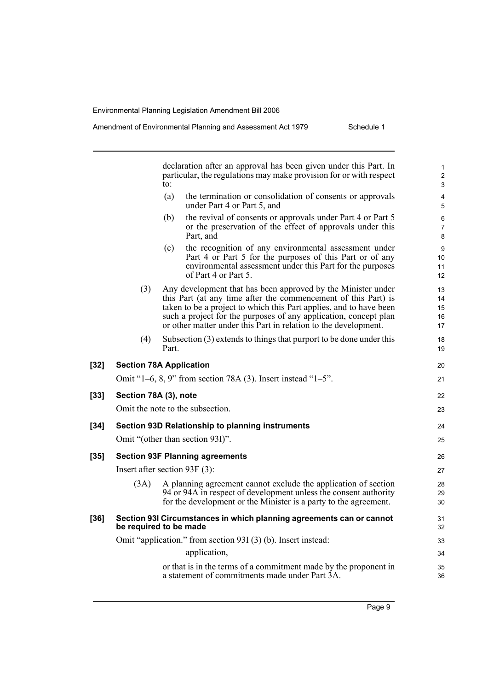declaration after an approval has been given under this Part. In particular, the regulations may make provision for or with respect to: (a) the termination or consolidation of consents or approvals under Part 4 or Part 5, and (b) the revival of consents or approvals under Part 4 or Part 5 or the preservation of the effect of approvals under this Part, and (c) the recognition of any environmental assessment under Part 4 or Part 5 for the purposes of this Part or of any environmental assessment under this Part for the purposes of Part 4 or Part 5. (3) Any development that has been approved by the Minister under this Part (at any time after the commencement of this Part) is taken to be a project to which this Part applies, and to have been such a project for the purposes of any application, concept plan or other matter under this Part in relation to the development. (4) Subsection (3) extends to things that purport to be done under this Part. **[32] Section 78A Application** Omit "1–6, 8, 9" from section 78A (3). Insert instead "1–5". **[33] Section 78A (3), note** Omit the note to the subsection. **[34] Section 93D Relationship to planning instruments** Omit "(other than section 93I)". **[35] Section 93F Planning agreements** Insert after section 93F (3): (3A) A planning agreement cannot exclude the application of section 94 or 94A in respect of development unless the consent authority for the development or the Minister is a party to the agreement. **[36] Section 93I Circumstances in which planning agreements can or cannot be required to be made** Omit "application." from section 93I (3) (b). Insert instead: application, or that is in the terms of a commitment made by the proponent in a statement of commitments made under Part 3A. 1 2 3 4 5 6 7 8 9 10 11 12 13 14 15 16 17 18 19 20 21 22 23 24 25 26 27 28 29 30 31 32 33 34 35 36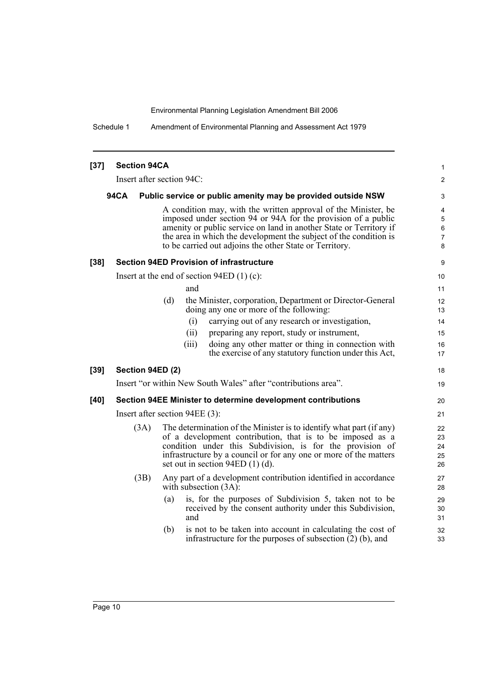Schedule 1 Amendment of Environmental Planning and Assessment Act 1979

| $[37]$ | <b>Section 94CA</b> |                                                                                                                                                                                                                                                                                                                                       | 1                           |
|--------|---------------------|---------------------------------------------------------------------------------------------------------------------------------------------------------------------------------------------------------------------------------------------------------------------------------------------------------------------------------------|-----------------------------|
|        |                     | Insert after section 94C:                                                                                                                                                                                                                                                                                                             | 2                           |
|        | 94CA                | Public service or public amenity may be provided outside NSW                                                                                                                                                                                                                                                                          | 3                           |
|        |                     | A condition may, with the written approval of the Minister, be<br>imposed under section 94 or 94A for the provision of a public<br>amenity or public service on land in another State or Territory if<br>the area in which the development the subject of the condition is<br>to be carried out adjoins the other State or Territory. | 4<br>5<br>$\,6\,$<br>7<br>8 |
| $[38]$ |                     | <b>Section 94ED Provision of infrastructure</b>                                                                                                                                                                                                                                                                                       | 9                           |
|        |                     | Insert at the end of section $94ED(1)(c)$ :                                                                                                                                                                                                                                                                                           | 10                          |
|        |                     | and                                                                                                                                                                                                                                                                                                                                   | 11                          |
|        |                     | (d)<br>the Minister, corporation, Department or Director-General<br>doing any one or more of the following:                                                                                                                                                                                                                           | 12<br>13                    |
|        |                     | carrying out of any research or investigation,<br>(i)                                                                                                                                                                                                                                                                                 | 14                          |
|        |                     | (ii)<br>preparing any report, study or instrument,                                                                                                                                                                                                                                                                                    | 15                          |
|        |                     | doing any other matter or thing in connection with<br>(iii)<br>the exercise of any statutory function under this Act,                                                                                                                                                                                                                 | 16<br>17                    |
| $[39]$ | Section 94ED (2)    |                                                                                                                                                                                                                                                                                                                                       | 18                          |
|        |                     | Insert "or within New South Wales" after "contributions area".                                                                                                                                                                                                                                                                        | 19                          |
| $[40]$ |                     | Section 94EE Minister to determine development contributions                                                                                                                                                                                                                                                                          | 20                          |
|        |                     | Insert after section 94EE (3):                                                                                                                                                                                                                                                                                                        | 21                          |
|        | (3A)                | The determination of the Minister is to identify what part (if any)<br>of a development contribution, that is to be imposed as a<br>condition under this Subdivision, is for the provision of<br>infrastructure by a council or for any one or more of the matters<br>set out in section $94ED(1)(d)$ .                               | 22<br>23<br>24<br>25<br>26  |
|        | (3B)                | Any part of a development contribution identified in accordance<br>with subsection $(3A)$ :                                                                                                                                                                                                                                           | 27<br>28                    |
|        |                     | is, for the purposes of Subdivision 5, taken not to be<br>(a)<br>received by the consent authority under this Subdivision,<br>and                                                                                                                                                                                                     | 29<br>30<br>31              |
|        |                     | (b)<br>is not to be taken into account in calculating the cost of<br>infrastructure for the purposes of subsection $(2)$ (b), and                                                                                                                                                                                                     | 32<br>33                    |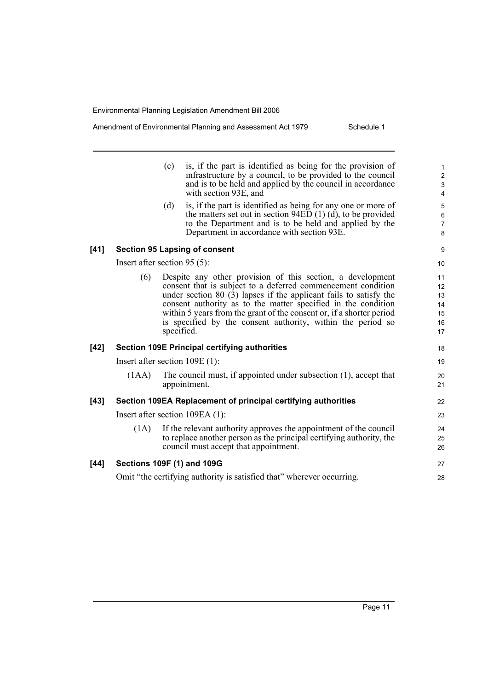Amendment of Environmental Planning and Assessment Act 1979 Schedule 1

|      |                                | (c) | is, if the part is identified as being for the provision of<br>infrastructure by a council, to be provided to the council<br>and is to be held and applied by the council in accordance<br>with section 93E, and                                                                                                                                                                                                        | $\mathbf{1}$<br>$\overline{\mathbf{c}}$<br>3<br>$\overline{\mathbf{4}}$ |
|------|--------------------------------|-----|-------------------------------------------------------------------------------------------------------------------------------------------------------------------------------------------------------------------------------------------------------------------------------------------------------------------------------------------------------------------------------------------------------------------------|-------------------------------------------------------------------------|
|      |                                | (d) | is, if the part is identified as being for any one or more of<br>the matters set out in section $94ED(1)$ (d), to be provided<br>to the Department and is to be held and applied by the<br>Department in accordance with section 93E.                                                                                                                                                                                   | 5<br>$\,6\,$<br>$\overline{7}$<br>8                                     |
| [41] |                                |     | <b>Section 95 Lapsing of consent</b>                                                                                                                                                                                                                                                                                                                                                                                    | 9                                                                       |
|      | Insert after section $95(5)$ : |     |                                                                                                                                                                                                                                                                                                                                                                                                                         | 10                                                                      |
|      | (6)                            |     | Despite any other provision of this section, a development<br>consent that is subject to a deferred commencement condition<br>under section $80$ (3) lapses if the applicant fails to satisfy the<br>consent authority as to the matter specified in the condition<br>within 5 years from the grant of the consent or, if a shorter period<br>is specified by the consent authority, within the period so<br>specified. | 11<br>12<br>13<br>14<br>15<br>16<br>17                                  |
| [42] |                                |     | <b>Section 109E Principal certifying authorities</b>                                                                                                                                                                                                                                                                                                                                                                    | 18                                                                      |
|      |                                |     | Insert after section $109E(1)$ :                                                                                                                                                                                                                                                                                                                                                                                        | 19                                                                      |
|      | (1AA)                          |     | The council must, if appointed under subsection (1), accept that<br>appointment.                                                                                                                                                                                                                                                                                                                                        | 20<br>21                                                                |
| [43] |                                |     | Section 109EA Replacement of principal certifying authorities                                                                                                                                                                                                                                                                                                                                                           | 22                                                                      |
|      |                                |     | Insert after section 109EA (1):                                                                                                                                                                                                                                                                                                                                                                                         | 23                                                                      |
|      | (1A)                           |     | If the relevant authority approves the appointment of the council<br>to replace another person as the principal certifying authority, the<br>council must accept that appointment.                                                                                                                                                                                                                                      | 24<br>25<br>26                                                          |
| [44] |                                |     | <b>Sections 109F (1) and 109G</b>                                                                                                                                                                                                                                                                                                                                                                                       | 27                                                                      |
|      |                                |     | Omit "the certifying authority is satisfied that" wherever occurring.                                                                                                                                                                                                                                                                                                                                                   | 28                                                                      |
|      |                                |     |                                                                                                                                                                                                                                                                                                                                                                                                                         |                                                                         |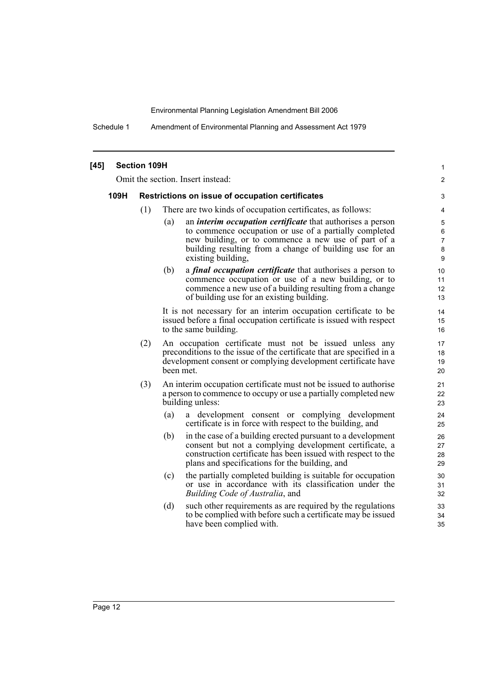Schedule 1 Amendment of Environmental Planning and Assessment Act 1979

| $[45]$ | <b>Section 109H</b>                                      |     |     |                                                                                                                                                                                                                                                                     |                                 |  |
|--------|----------------------------------------------------------|-----|-----|---------------------------------------------------------------------------------------------------------------------------------------------------------------------------------------------------------------------------------------------------------------------|---------------------------------|--|
|        | Omit the section. Insert instead:                        |     |     |                                                                                                                                                                                                                                                                     |                                 |  |
|        | 109H<br>Restrictions on issue of occupation certificates |     |     |                                                                                                                                                                                                                                                                     |                                 |  |
|        |                                                          | (1) |     | There are two kinds of occupation certificates, as follows:                                                                                                                                                                                                         | 4                               |  |
|        |                                                          |     | (a) | an <i>interim occupation certificate</i> that authorises a person<br>to commence occupation or use of a partially completed<br>new building, or to commence a new use of part of a<br>building resulting from a change of building use for an<br>existing building, | $\mathbf 5$<br>6<br>7<br>8<br>9 |  |
|        |                                                          |     | (b) | a <i>final occupation certificate</i> that authorises a person to<br>commence occupation or use of a new building, or to<br>commence a new use of a building resulting from a change<br>of building use for an existing building.                                   | 10<br>11<br>12<br>13            |  |
|        |                                                          |     |     | It is not necessary for an interim occupation certificate to be<br>issued before a final occupation certificate is issued with respect<br>to the same building.                                                                                                     | 14<br>15<br>16                  |  |
|        |                                                          | (2) |     | An occupation certificate must not be issued unless any<br>preconditions to the issue of the certificate that are specified in a<br>development consent or complying development certificate have<br>been met.                                                      | 17<br>18<br>19<br>20            |  |
|        |                                                          | (3) |     | An interim occupation certificate must not be issued to authorise<br>a person to commence to occupy or use a partially completed new<br>building unless:                                                                                                            | 21<br>22<br>23                  |  |
|        |                                                          |     | (a) | a development consent or complying development<br>certificate is in force with respect to the building, and                                                                                                                                                         | 24<br>25                        |  |
|        |                                                          |     | (b) | in the case of a building erected pursuant to a development<br>consent but not a complying development certificate, a<br>construction certificate has been issued with respect to the<br>plans and specifications for the building, and                             | 26<br>27<br>28<br>29            |  |
|        |                                                          |     | (c) | the partially completed building is suitable for occupation<br>or use in accordance with its classification under the<br>Building Code of Australia, and                                                                                                            | 30<br>31<br>32                  |  |
|        |                                                          |     | (d) | such other requirements as are required by the regulations<br>to be complied with before such a certificate may be issued<br>have been complied with.                                                                                                               | 33<br>34<br>35                  |  |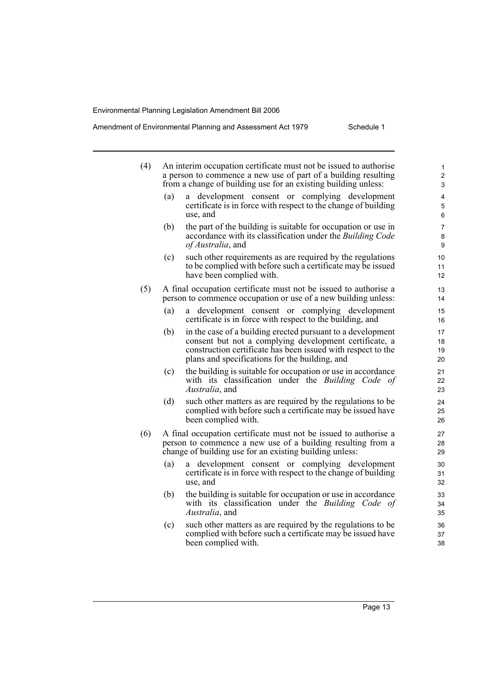### Amendment of Environmental Planning and Assessment Act 1979 Schedule 1

| (4) |                                                                                                                                    | An interim occupation certificate must not be issued to authorise<br>a person to commence a new use of part of a building resulting<br>from a change of building use for an existing building unless:                                   | 1<br>$\overline{\mathbf{c}}$<br>3                 |  |  |  |  |
|-----|------------------------------------------------------------------------------------------------------------------------------------|-----------------------------------------------------------------------------------------------------------------------------------------------------------------------------------------------------------------------------------------|---------------------------------------------------|--|--|--|--|
|     | (a)                                                                                                                                | a development consent or complying development<br>certificate is in force with respect to the change of building<br>use, and                                                                                                            | 4<br>5<br>6                                       |  |  |  |  |
|     | (b)                                                                                                                                | the part of the building is suitable for occupation or use in<br>accordance with its classification under the Building Code<br>of Australia, and                                                                                        | $\overline{\mathcal{I}}$<br>8<br>$\boldsymbol{9}$ |  |  |  |  |
|     | (c)                                                                                                                                | such other requirements as are required by the regulations<br>to be complied with before such a certificate may be issued<br>have been complied with.                                                                                   | 10<br>11<br>12                                    |  |  |  |  |
| (5) | A final occupation certificate must not be issued to authorise a<br>person to commence occupation or use of a new building unless: |                                                                                                                                                                                                                                         |                                                   |  |  |  |  |
|     | (a)                                                                                                                                | development consent or complying development<br>a -<br>certificate is in force with respect to the building, and                                                                                                                        | 15<br>16                                          |  |  |  |  |
|     | (b)                                                                                                                                | in the case of a building erected pursuant to a development<br>consent but not a complying development certificate, a<br>construction certificate has been issued with respect to the<br>plans and specifications for the building, and | 17<br>18<br>19<br>20                              |  |  |  |  |
|     | (c)                                                                                                                                | the building is suitable for occupation or use in accordance<br>with its classification under the <i>Building Code of</i><br>Australia, and                                                                                             | 21<br>22<br>23                                    |  |  |  |  |
|     | (d)                                                                                                                                | such other matters as are required by the regulations to be<br>complied with before such a certificate may be issued have<br>been complied with.                                                                                        | 24<br>25<br>26                                    |  |  |  |  |
| (6) |                                                                                                                                    | A final occupation certificate must not be issued to authorise a<br>person to commence a new use of a building resulting from a<br>change of building use for an existing building unless:                                              | 27<br>28<br>29                                    |  |  |  |  |
|     | (a)                                                                                                                                | a development consent or complying development<br>certificate is in force with respect to the change of building<br>use, and                                                                                                            | 30<br>31<br>32                                    |  |  |  |  |
|     | (b)                                                                                                                                | the building is suitable for occupation or use in accordance<br>with its classification under the Building Code of<br><i>Australia</i> , and                                                                                            | 33<br>34<br>35                                    |  |  |  |  |
|     | (c)                                                                                                                                | such other matters as are required by the regulations to be<br>complied with before such a certificate may be issued have<br>been complied with.                                                                                        | 36<br>37<br>38                                    |  |  |  |  |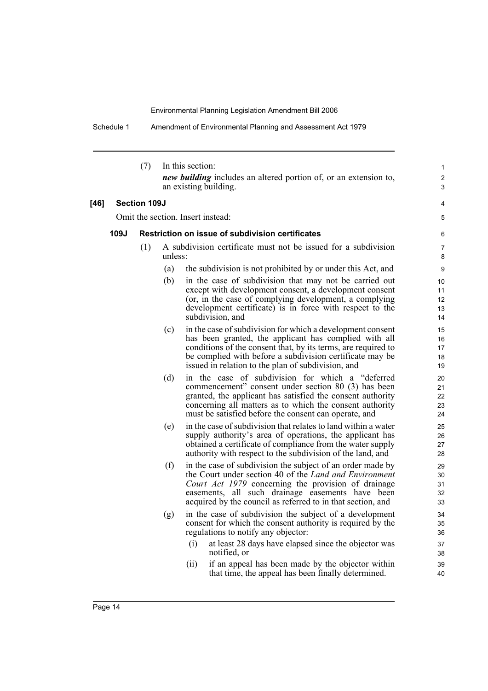Schedule 1 Amendment of Environmental Planning and Assessment Act 1979

|        |      | (7)                 |         | In this section:<br><i>new building</i> includes an altered portion of, or an extension to,                                                                                                                                                                                                            | 1<br>2                     |
|--------|------|---------------------|---------|--------------------------------------------------------------------------------------------------------------------------------------------------------------------------------------------------------------------------------------------------------------------------------------------------------|----------------------------|
|        |      |                     |         | an existing building.                                                                                                                                                                                                                                                                                  | 3                          |
| $[46]$ |      | <b>Section 109J</b> |         |                                                                                                                                                                                                                                                                                                        | 4                          |
|        |      |                     |         | Omit the section. Insert instead:                                                                                                                                                                                                                                                                      | 5                          |
|        | 109J |                     |         | <b>Restriction on issue of subdivision certificates</b>                                                                                                                                                                                                                                                | 6                          |
|        |      | (1)                 | unless: | A subdivision certificate must not be issued for a subdivision                                                                                                                                                                                                                                         | 7<br>8                     |
|        |      |                     | (a)     | the subdivision is not prohibited by or under this Act, and                                                                                                                                                                                                                                            | 9                          |
|        |      |                     | (b)     | in the case of subdivision that may not be carried out<br>except with development consent, a development consent<br>(or, in the case of complying development, a complying<br>development certificate) is in force with respect to the<br>subdivision, and                                             | 10<br>11<br>12<br>13<br>14 |
|        |      |                     | (c)     | in the case of subdivision for which a development consent<br>has been granted, the applicant has complied with all<br>conditions of the consent that, by its terms, are required to<br>be complied with before a subdivision certificate may be<br>issued in relation to the plan of subdivision, and | 15<br>16<br>17<br>18<br>19 |
|        |      |                     | (d)     | in the case of subdivision for which a "deferred<br>commencement" consent under section 80 (3) has been<br>granted, the applicant has satisfied the consent authority<br>concerning all matters as to which the consent authority<br>must be satisfied before the consent can operate, and             | 20<br>21<br>22<br>23<br>24 |
|        |      |                     | (e)     | in the case of subdivision that relates to land within a water<br>supply authority's area of operations, the applicant has<br>obtained a certificate of compliance from the water supply<br>authority with respect to the subdivision of the land, and                                                 | 25<br>26<br>27<br>28       |
|        |      |                     | (f)     | in the case of subdivision the subject of an order made by<br>the Court under section 40 of the Land and Environment<br>Court Act 1979 concerning the provision of drainage<br>easements, all such drainage easements have been<br>acquired by the council as referred to in that section, and         | 29<br>30<br>31<br>32<br>33 |
|        |      |                     | (g)     | in the case of subdivision the subject of a development<br>consent for which the consent authority is required by the<br>regulations to notify any objector:<br>at least 28 days have elapsed since the objector was<br>(i)                                                                            | 34<br>35<br>36             |
|        |      |                     |         | notified, or                                                                                                                                                                                                                                                                                           | 37<br>38                   |
|        |      |                     |         | if an appeal has been made by the objector within<br>(i)<br>that time, the appeal has been finally determined.                                                                                                                                                                                         | 39<br>40                   |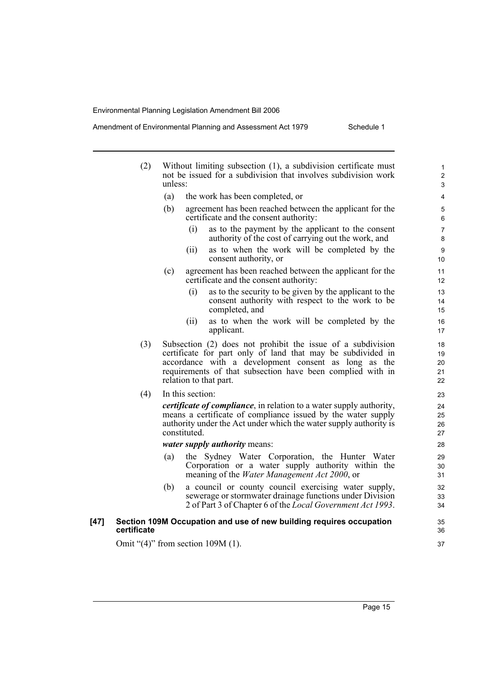Amendment of Environmental Planning and Assessment Act 1979 Schedule 1

|      | (2)                                      | unless: |                  | Without limiting subsection (1), a subdivision certificate must<br>not be issued for a subdivision that involves subdivision work                                                                                                                                          | $\mathbf{1}$<br>$\overline{c}$<br>3 |
|------|------------------------------------------|---------|------------------|----------------------------------------------------------------------------------------------------------------------------------------------------------------------------------------------------------------------------------------------------------------------------|-------------------------------------|
|      |                                          | (a)     |                  | the work has been completed, or                                                                                                                                                                                                                                            | 4                                   |
|      |                                          | (b)     |                  | agreement has been reached between the applicant for the<br>certificate and the consent authority:                                                                                                                                                                         | 5<br>6                              |
|      |                                          |         | (i)              | as to the payment by the applicant to the consent<br>authority of the cost of carrying out the work, and                                                                                                                                                                   | $\overline{7}$<br>8                 |
|      |                                          |         | (ii)             | as to when the work will be completed by the<br>consent authority, or                                                                                                                                                                                                      | 9<br>10                             |
|      |                                          | (c)     |                  | agreement has been reached between the applicant for the<br>certificate and the consent authority:                                                                                                                                                                         | 11<br>12                            |
|      |                                          |         | (i)              | as to the security to be given by the applicant to the<br>consent authority with respect to the work to be<br>completed, and                                                                                                                                               | 13<br>14<br>15                      |
|      |                                          |         | (ii)             | as to when the work will be completed by the<br>applicant.                                                                                                                                                                                                                 | 16<br>17                            |
|      | (3)                                      |         |                  | Subsection (2) does not prohibit the issue of a subdivision<br>certificate for part only of land that may be subdivided in<br>accordance with a development consent as long as the<br>requirements of that subsection have been complied with in<br>relation to that part. | 18<br>19<br>20<br>21<br>22          |
|      | (4)                                      |         | In this section: |                                                                                                                                                                                                                                                                            | 23                                  |
|      |                                          |         | constituted.     | <i>certificate of compliance</i> , in relation to a water supply authority,<br>means a certificate of compliance issued by the water supply<br>authority under the Act under which the water supply authority is                                                           | 24<br>25<br>26<br>27                |
|      |                                          |         |                  | water supply authority means:                                                                                                                                                                                                                                              | 28                                  |
|      |                                          | (a)     |                  | the Sydney Water Corporation, the Hunter Water<br>Corporation or a water supply authority within the<br>meaning of the <i>Water Management Act 2000</i> , or                                                                                                               | 29<br>30<br>31                      |
|      |                                          | (b)     |                  | a council or county council exercising water supply,<br>sewerage or stormwater drainage functions under Division<br>2 of Part 3 of Chapter 6 of the Local Government Act 1993.                                                                                             | 32<br>33<br>34                      |
| [47] | certificate                              |         |                  | Section 109M Occupation and use of new building requires occupation                                                                                                                                                                                                        | 35<br>36                            |
|      | Omit " $(4)$ " from section 109M $(1)$ . |         |                  |                                                                                                                                                                                                                                                                            | 37                                  |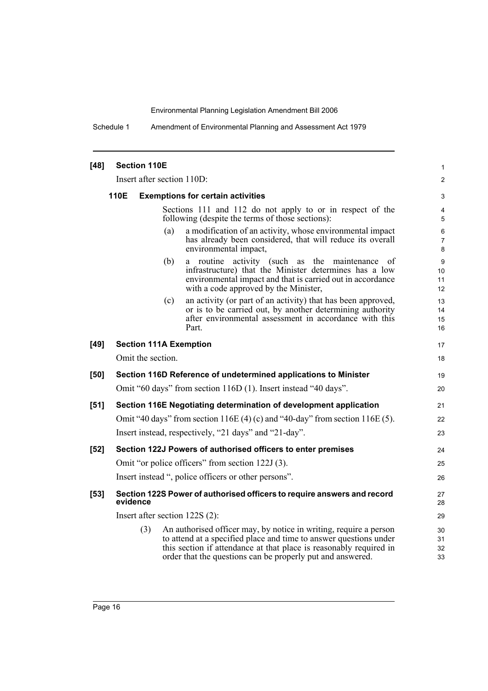Schedule 1 Amendment of Environmental Planning and Assessment Act 1979

| $[48]$ | <b>Section 110E</b><br>1                                        |          |     |                                                                                                                                                                                                                                                                            |                      |  |
|--------|-----------------------------------------------------------------|----------|-----|----------------------------------------------------------------------------------------------------------------------------------------------------------------------------------------------------------------------------------------------------------------------------|----------------------|--|
|        |                                                                 |          |     | Insert after section 110D:                                                                                                                                                                                                                                                 | $\overline{2}$       |  |
|        | 110E                                                            |          |     | <b>Exemptions for certain activities</b>                                                                                                                                                                                                                                   | 3                    |  |
|        |                                                                 |          |     | Sections 111 and 112 do not apply to or in respect of the<br>following (despite the terms of those sections):                                                                                                                                                              | 4<br>5               |  |
|        |                                                                 |          | (a) | a modification of an activity, whose environmental impact<br>has already been considered, that will reduce its overall<br>environmental impact,                                                                                                                            | 6<br>7<br>8          |  |
|        |                                                                 |          | (b) | a routine activity (such as the maintenance<br><sub>of</sub><br>infrastructure) that the Minister determines has a low<br>environmental impact and that is carried out in accordance<br>with a code approved by the Minister,                                              | 9<br>10<br>11<br>12  |  |
|        |                                                                 |          | (c) | an activity (or part of an activity) that has been approved,<br>or is to be carried out, by another determining authority<br>after environmental assessment in accordance with this<br>Part.                                                                               | 13<br>14<br>15<br>16 |  |
| $[49]$ |                                                                 |          |     | <b>Section 111A Exemption</b>                                                                                                                                                                                                                                              | 17                   |  |
|        | Omit the section                                                |          |     |                                                                                                                                                                                                                                                                            |                      |  |
| [50]   | Section 116D Reference of undetermined applications to Minister |          |     |                                                                                                                                                                                                                                                                            |                      |  |
|        | Omit "60 days" from section 116D (1). Insert instead "40 days". |          |     |                                                                                                                                                                                                                                                                            |                      |  |
| $[51]$ |                                                                 |          |     | Section 116E Negotiating determination of development application                                                                                                                                                                                                          | 21                   |  |
|        |                                                                 |          |     | Omit "40 days" from section $116E(4)$ (c) and "40-day" from section $116E(5)$ .                                                                                                                                                                                            | 22                   |  |
|        |                                                                 |          |     | Insert instead, respectively, "21 days" and "21-day".                                                                                                                                                                                                                      | 23                   |  |
| $[52]$ |                                                                 |          |     | Section 122J Powers of authorised officers to enter premises                                                                                                                                                                                                               | 24                   |  |
|        |                                                                 |          |     | Omit "or police officers" from section 122J (3).                                                                                                                                                                                                                           | 25                   |  |
|        |                                                                 |          |     | Insert instead ", police officers or other persons".                                                                                                                                                                                                                       | 26                   |  |
| $[53]$ |                                                                 | evidence |     | Section 122S Power of authorised officers to require answers and record                                                                                                                                                                                                    | 27<br>28             |  |
|        |                                                                 |          |     | Insert after section 122S (2):                                                                                                                                                                                                                                             | 29                   |  |
|        |                                                                 | (3)      |     | An authorised officer may, by notice in writing, require a person<br>to attend at a specified place and time to answer questions under<br>this section if attendance at that place is reasonably required in<br>order that the questions can be properly put and answered. | 30<br>31<br>32<br>33 |  |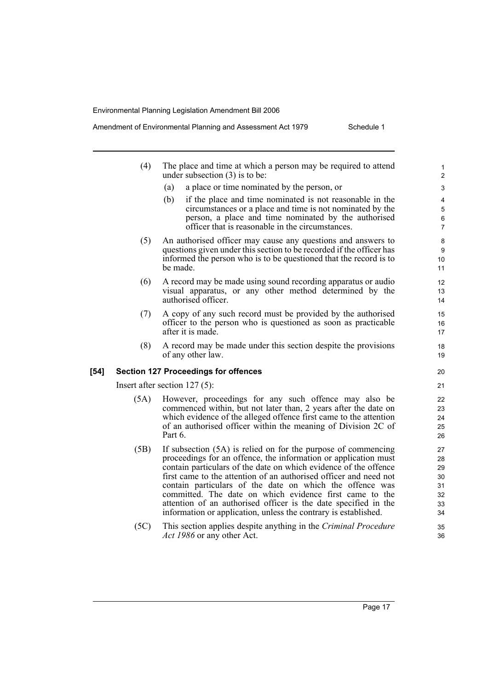Amendment of Environmental Planning and Assessment Act 1979 Schedule 1

- (4) The place and time at which a person may be required to attend under subsection (3) is to be: (a) a place or time nominated by the person, or (b) if the place and time nominated is not reasonable in the circumstances or a place and time is not nominated by the person, a place and time nominated by the authorised officer that is reasonable in the circumstances. (5) An authorised officer may cause any questions and answers to questions given under this section to be recorded if the officer has informed the person who is to be questioned that the record is to be made. (6) A record may be made using sound recording apparatus or audio visual apparatus, or any other method determined by the authorised officer. (7) A copy of any such record must be provided by the authorised officer to the person who is questioned as soon as practicable after it is made. (8) A record may be made under this section despite the provisions of any other law. **[54] Section 127 Proceedings for offences** Insert after section 127 (5): (5A) However, proceedings for any such offence may also be commenced within, but not later than, 2 years after the date on which evidence of the alleged offence first came to the attention of an authorised officer within the meaning of Division 2C of Part 6. (5B) If subsection (5A) is relied on for the purpose of commencing proceedings for an offence, the information or application must contain particulars of the date on which evidence of the offence first came to the attention of an authorised officer and need not contain particulars of the date on which the offence was committed. The date on which evidence first came to the attention of an authorised officer is the date specified in the information or application, unless the contrary is established.  $10$ 11 12 13 14 15 16 17 18 19 21 22 23 24 25 26 27 28 29 30 31 32 33 34
	- (5C) This section applies despite anything in the *Criminal Procedure Act 1986* or any other Act.

Page 17

20

35 36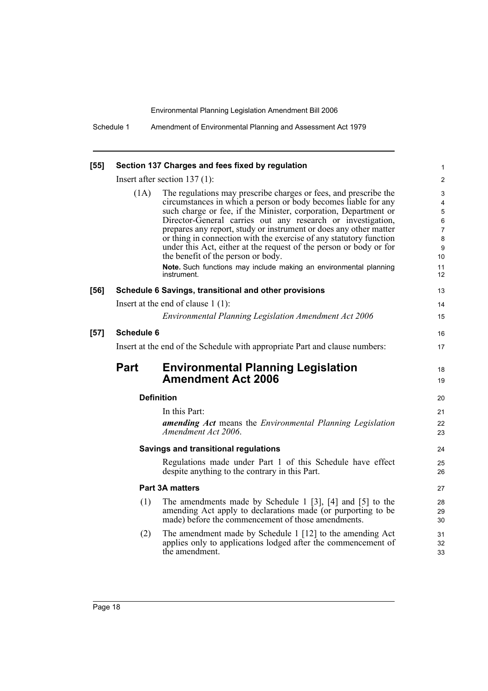| $[55]$ |                                                                             | Section 137 Charges and fees fixed by regulation                                                                                                                                                                                                                                                                                                                                                                                                                                                                                                                                                                | 1                                                 |  |  |  |  |
|--------|-----------------------------------------------------------------------------|-----------------------------------------------------------------------------------------------------------------------------------------------------------------------------------------------------------------------------------------------------------------------------------------------------------------------------------------------------------------------------------------------------------------------------------------------------------------------------------------------------------------------------------------------------------------------------------------------------------------|---------------------------------------------------|--|--|--|--|
|        |                                                                             | Insert after section $137(1)$ :                                                                                                                                                                                                                                                                                                                                                                                                                                                                                                                                                                                 | $\overline{\mathbf{c}}$                           |  |  |  |  |
|        | (1A)                                                                        | The regulations may prescribe charges or fees, and prescribe the<br>circumstances in which a person or body becomes liable for any<br>such charge or fee, if the Minister, corporation, Department or<br>Director-General carries out any research or investigation,<br>prepares any report, study or instrument or does any other matter<br>or thing in connection with the exercise of any statutory function<br>under this Act, either at the request of the person or body or for<br>the benefit of the person or body.<br>Note. Such functions may include making an environmental planning<br>instrument. | 3<br>4<br>5<br>6<br>7<br>8<br>9<br>10<br>11<br>12 |  |  |  |  |
| $[56]$ |                                                                             | Schedule 6 Savings, transitional and other provisions                                                                                                                                                                                                                                                                                                                                                                                                                                                                                                                                                           | 13                                                |  |  |  |  |
|        |                                                                             | Insert at the end of clause $1(1)$ :                                                                                                                                                                                                                                                                                                                                                                                                                                                                                                                                                                            | 14                                                |  |  |  |  |
|        |                                                                             | <b>Environmental Planning Legislation Amendment Act 2006</b>                                                                                                                                                                                                                                                                                                                                                                                                                                                                                                                                                    | 15                                                |  |  |  |  |
| $[57]$ | <b>Schedule 6</b>                                                           |                                                                                                                                                                                                                                                                                                                                                                                                                                                                                                                                                                                                                 | 16                                                |  |  |  |  |
|        | Insert at the end of the Schedule with appropriate Part and clause numbers: |                                                                                                                                                                                                                                                                                                                                                                                                                                                                                                                                                                                                                 |                                                   |  |  |  |  |
|        | <b>Part</b>                                                                 | <b>Environmental Planning Legislation</b><br><b>Amendment Act 2006</b>                                                                                                                                                                                                                                                                                                                                                                                                                                                                                                                                          |                                                   |  |  |  |  |
|        |                                                                             | <b>Definition</b>                                                                                                                                                                                                                                                                                                                                                                                                                                                                                                                                                                                               |                                                   |  |  |  |  |
|        |                                                                             | In this Part:<br>amending Act means the Environmental Planning Legislation<br>Amendment Act 2006.                                                                                                                                                                                                                                                                                                                                                                                                                                                                                                               | 21<br>22<br>23                                    |  |  |  |  |
|        |                                                                             | Savings and transitional regulations                                                                                                                                                                                                                                                                                                                                                                                                                                                                                                                                                                            |                                                   |  |  |  |  |
|        |                                                                             | Regulations made under Part 1 of this Schedule have effect<br>despite anything to the contrary in this Part.                                                                                                                                                                                                                                                                                                                                                                                                                                                                                                    | 25<br>26                                          |  |  |  |  |
|        |                                                                             | <b>Part 3A matters</b>                                                                                                                                                                                                                                                                                                                                                                                                                                                                                                                                                                                          | 27                                                |  |  |  |  |
|        | (1)                                                                         | The amendments made by Schedule 1 $[3]$ , $[4]$ and $[5]$ to the<br>amending Act apply to declarations made (or purporting to be<br>made) before the commencement of those amendments.                                                                                                                                                                                                                                                                                                                                                                                                                          | 28<br>29<br>30                                    |  |  |  |  |
|        |                                                                             |                                                                                                                                                                                                                                                                                                                                                                                                                                                                                                                                                                                                                 |                                                   |  |  |  |  |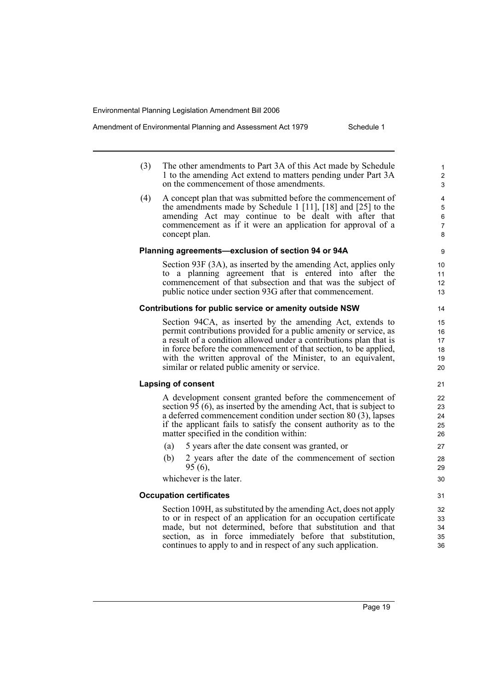Amendment of Environmental Planning and Assessment Act 1979 Schedule 1

- (3) The other amendments to Part 3A of this Act made by Schedule 1 to the amending Act extend to matters pending under Part 3A on the commencement of those amendments.
- (4) A concept plan that was submitted before the commencement of the amendments made by Schedule 1 [11], [18] and [25] to the amending Act may continue to be dealt with after that commencement as if it were an application for approval of a concept plan.

#### **Planning agreements—exclusion of section 94 or 94A**

Section 93F (3A), as inserted by the amending Act, applies only to a planning agreement that is entered into after the commencement of that subsection and that was the subject of public notice under section 93G after that commencement.

#### **Contributions for public service or amenity outside NSW**

Section 94CA, as inserted by the amending Act, extends to permit contributions provided for a public amenity or service, as a result of a condition allowed under a contributions plan that is in force before the commencement of that section, to be applied, with the written approval of the Minister, to an equivalent, similar or related public amenity or service.

#### **Lapsing of consent**

A development consent granted before the commencement of section  $9\overline{5}$  (6), as inserted by the amending Act, that is subject to a deferred commencement condition under section 80 (3), lapses if the applicant fails to satisfy the consent authority as to the matter specified in the condition within:

- (a) 5 years after the date consent was granted, or
- (b) 2 years after the date of the commencement of section 95 (6),

whichever is the later.

#### **Occupation certificates**

Section 109H, as substituted by the amending Act, does not apply to or in respect of an application for an occupation certificate made, but not determined, before that substitution and that section, as in force immediately before that substitution, continues to apply to and in respect of any such application.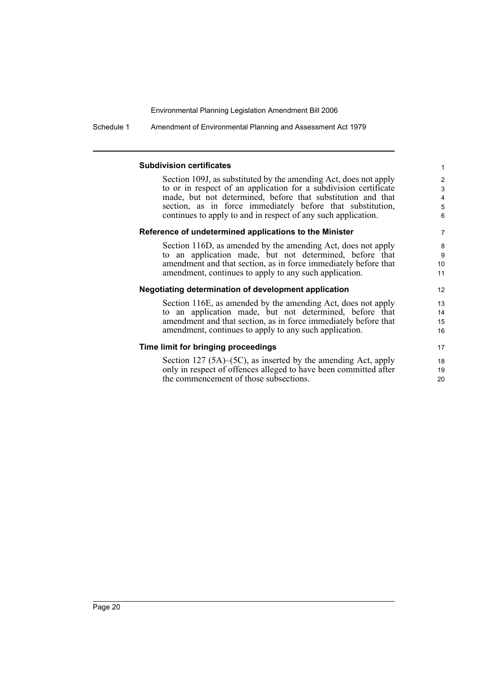Schedule 1 Amendment of Environmental Planning and Assessment Act 1979

#### **Subdivision certificates**

Section 109J, as substituted by the amending Act, does not apply to or in respect of an application for a subdivision certificate made, but not determined, before that substitution and that section, as in force immediately before that substitution, continues to apply to and in respect of any such application.

#### **Reference of undetermined applications to the Minister**

Section 116D, as amended by the amending Act, does not apply to an application made, but not determined, before that amendment and that section, as in force immediately before that amendment, continues to apply to any such application.

#### **Negotiating determination of development application**

Section 116E, as amended by the amending Act, does not apply to an application made, but not determined, before that amendment and that section, as in force immediately before that amendment, continues to apply to any such application.

#### **Time limit for bringing proceedings**

Section 127 (5A)–(5C), as inserted by the amending Act, apply only in respect of offences alleged to have been committed after the commencement of those subsections.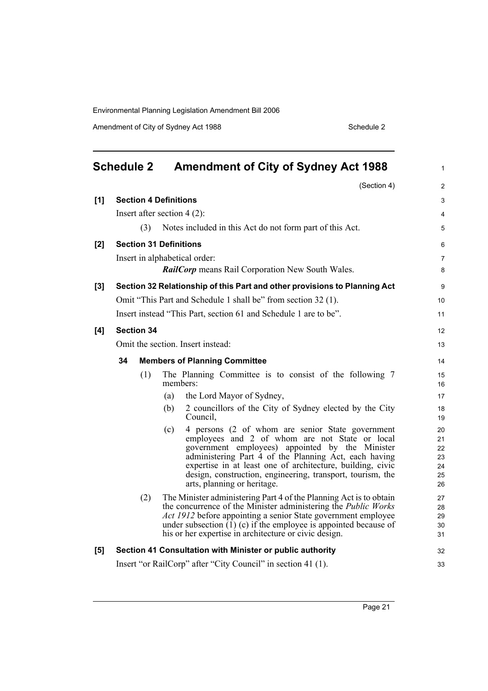Amendment of City of Sydney Act 1988 Schedule 2

<span id="page-22-0"></span>

|     | <b>Schedule 2</b>            | <b>Amendment of City of Sydney Act 1988</b>                                                                                                                                                                                                                                                                                                                                      | 1                                      |
|-----|------------------------------|----------------------------------------------------------------------------------------------------------------------------------------------------------------------------------------------------------------------------------------------------------------------------------------------------------------------------------------------------------------------------------|----------------------------------------|
|     |                              | (Section 4)                                                                                                                                                                                                                                                                                                                                                                      | $\overline{c}$                         |
| [1] | <b>Section 4 Definitions</b> |                                                                                                                                                                                                                                                                                                                                                                                  | 3                                      |
|     |                              | Insert after section $4(2)$ :                                                                                                                                                                                                                                                                                                                                                    | 4                                      |
|     | (3)                          | Notes included in this Act do not form part of this Act.                                                                                                                                                                                                                                                                                                                         | 5                                      |
| [2] |                              | <b>Section 31 Definitions</b>                                                                                                                                                                                                                                                                                                                                                    | 6                                      |
|     |                              | Insert in alphabetical order:                                                                                                                                                                                                                                                                                                                                                    | 7                                      |
|     |                              | <b>RailCorp</b> means Rail Corporation New South Wales.                                                                                                                                                                                                                                                                                                                          | 8                                      |
| [3] |                              | Section 32 Relationship of this Part and other provisions to Planning Act                                                                                                                                                                                                                                                                                                        | 9                                      |
|     |                              | Omit "This Part and Schedule 1 shall be" from section 32 (1).                                                                                                                                                                                                                                                                                                                    | 10                                     |
|     |                              | Insert instead "This Part, section 61 and Schedule 1 are to be".                                                                                                                                                                                                                                                                                                                 | 11                                     |
| [4] | <b>Section 34</b>            |                                                                                                                                                                                                                                                                                                                                                                                  | 12                                     |
|     |                              | Omit the section. Insert instead:                                                                                                                                                                                                                                                                                                                                                | 13                                     |
|     | 34                           | <b>Members of Planning Committee</b>                                                                                                                                                                                                                                                                                                                                             | 14                                     |
|     | (1)                          | The Planning Committee is to consist of the following 7<br>members:                                                                                                                                                                                                                                                                                                              | 15<br>16                               |
|     |                              | the Lord Mayor of Sydney,<br>(a)                                                                                                                                                                                                                                                                                                                                                 | 17                                     |
|     |                              | 2 councillors of the City of Sydney elected by the City<br>(b)<br>Council,                                                                                                                                                                                                                                                                                                       | 18<br>19                               |
|     |                              | 4 persons (2 of whom are senior State government<br>(c)<br>employees and 2 of whom are not State or local<br>government employees) appointed by the Minister<br>administering Part 4 of the Planning Act, each having<br>expertise in at least one of architecture, building, civic<br>design, construction, engineering, transport, tourism, the<br>arts, planning or heritage. | 20<br>21<br>22<br>23<br>24<br>25<br>26 |
|     | (2)                          | The Minister administering Part 4 of the Planning Act is to obtain<br>the concurrence of the Minister administering the <i>Public Works</i><br>Act 1912 before appointing a senior State government employee<br>under subsection $(1)$ (c) if the employee is appointed because of<br>his or her expertise in architecture or civic design.                                      | 27<br>28<br>29<br>30<br>31             |
| [5] |                              | Section 41 Consultation with Minister or public authority                                                                                                                                                                                                                                                                                                                        | 32                                     |
|     |                              | Insert "or RailCorp" after "City Council" in section 41 (1).                                                                                                                                                                                                                                                                                                                     | 33                                     |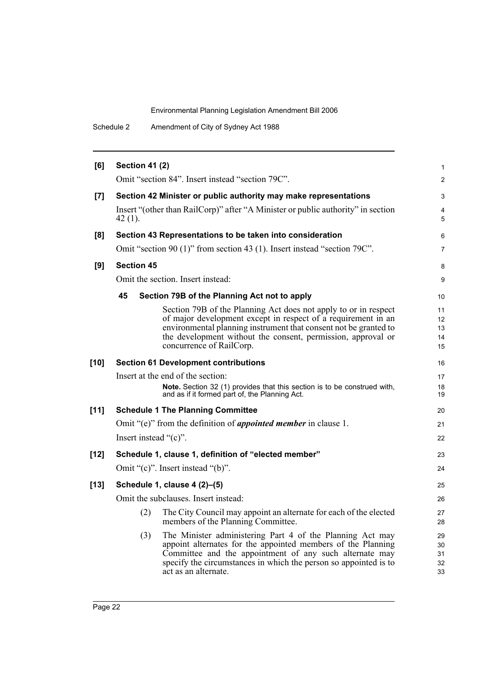| <b>Section 41 (2)</b><br>Omit "section 84". Insert instead "section 79C".<br>Section 42 Minister or public authority may make representations<br>Insert "(other than RailCorp)" after "A Minister or public authority" in section<br>Section 43 Representations to be taken into consideration<br>Omit "section 90 (1)" from section 43 (1). Insert instead "section 79C".<br>Omit the section. Insert instead:<br>Section 79B of the Planning Act not to apply<br>Section 79B of the Planning Act does not apply to or in respect<br>of major development except in respect of a requirement in an | $\mathbf{1}$<br>2<br>3<br>4<br>5<br>6<br>$\overline{7}$<br>8<br>9<br>10<br>11 |
|-----------------------------------------------------------------------------------------------------------------------------------------------------------------------------------------------------------------------------------------------------------------------------------------------------------------------------------------------------------------------------------------------------------------------------------------------------------------------------------------------------------------------------------------------------------------------------------------------------|-------------------------------------------------------------------------------|
|                                                                                                                                                                                                                                                                                                                                                                                                                                                                                                                                                                                                     |                                                                               |
|                                                                                                                                                                                                                                                                                                                                                                                                                                                                                                                                                                                                     |                                                                               |
|                                                                                                                                                                                                                                                                                                                                                                                                                                                                                                                                                                                                     |                                                                               |
|                                                                                                                                                                                                                                                                                                                                                                                                                                                                                                                                                                                                     |                                                                               |
|                                                                                                                                                                                                                                                                                                                                                                                                                                                                                                                                                                                                     |                                                                               |
|                                                                                                                                                                                                                                                                                                                                                                                                                                                                                                                                                                                                     |                                                                               |
|                                                                                                                                                                                                                                                                                                                                                                                                                                                                                                                                                                                                     |                                                                               |
|                                                                                                                                                                                                                                                                                                                                                                                                                                                                                                                                                                                                     |                                                                               |
|                                                                                                                                                                                                                                                                                                                                                                                                                                                                                                                                                                                                     |                                                                               |
| the development without the consent, permission, approval or<br>concurrence of RailCorp.                                                                                                                                                                                                                                                                                                                                                                                                                                                                                                            | 12<br>13<br>14<br>15                                                          |
| <b>Section 61 Development contributions</b>                                                                                                                                                                                                                                                                                                                                                                                                                                                                                                                                                         | 16                                                                            |
| Insert at the end of the section:                                                                                                                                                                                                                                                                                                                                                                                                                                                                                                                                                                   | 17                                                                            |
| Note. Section 32 (1) provides that this section is to be construed with,<br>and as if it formed part of, the Planning Act.                                                                                                                                                                                                                                                                                                                                                                                                                                                                          | 18<br>19                                                                      |
| <b>Schedule 1 The Planning Committee</b>                                                                                                                                                                                                                                                                                                                                                                                                                                                                                                                                                            | 20                                                                            |
| Omit "(e)" from the definition of <i>appointed member</i> in clause 1.                                                                                                                                                                                                                                                                                                                                                                                                                                                                                                                              | 21                                                                            |
| Insert instead "(c)".                                                                                                                                                                                                                                                                                                                                                                                                                                                                                                                                                                               | 22                                                                            |
| Schedule 1, clause 1, definition of "elected member"                                                                                                                                                                                                                                                                                                                                                                                                                                                                                                                                                | 23                                                                            |
| Omit "(c)". Insert instead "(b)".                                                                                                                                                                                                                                                                                                                                                                                                                                                                                                                                                                   | 24                                                                            |
| Schedule 1, clause 4 (2)-(5)                                                                                                                                                                                                                                                                                                                                                                                                                                                                                                                                                                        | 25                                                                            |
| Omit the subclauses. Insert instead:                                                                                                                                                                                                                                                                                                                                                                                                                                                                                                                                                                | 26                                                                            |
| The City Council may appoint an alternate for each of the elected<br>members of the Planning Committee.                                                                                                                                                                                                                                                                                                                                                                                                                                                                                             | 27<br>28                                                                      |
| The Minister administering Part 4 of the Planning Act may<br>appoint alternates for the appointed members of the Planning<br>Committee and the appointment of any such alternate may<br>specify the circumstances in which the person so appointed is to<br>act as an alternate.                                                                                                                                                                                                                                                                                                                    | 29<br>30<br>31<br>32<br>33                                                    |
|                                                                                                                                                                                                                                                                                                                                                                                                                                                                                                                                                                                                     | environmental planning instrument that consent not be granted to              |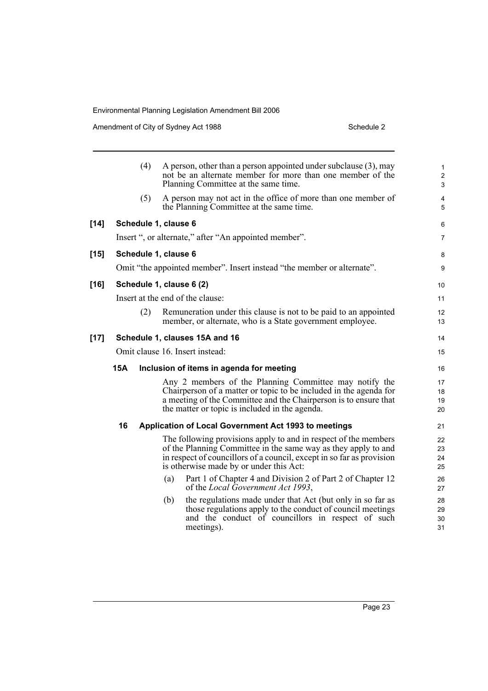Amendment of City of Sydney Act 1988 Schedule 2

|      |                                 | (4) | A person, other than a person appointed under subclause (3), may<br>not be an alternate member for more than one member of the<br>Planning Committee at the same time. | $\mathbf{1}$<br>$\overline{c}$<br>3 |  |  |
|------|---------------------------------|-----|------------------------------------------------------------------------------------------------------------------------------------------------------------------------|-------------------------------------|--|--|
|      |                                 | (5) | A person may not act in the office of more than one member of<br>the Planning Committee at the same time.                                                              | 4<br>5                              |  |  |
| [14] |                                 |     | Schedule 1, clause 6                                                                                                                                                   | 6                                   |  |  |
|      |                                 |     | Insert ", or alternate," after "An appointed member".                                                                                                                  | $\overline{7}$                      |  |  |
| [15] |                                 |     | Schedule 1, clause 6                                                                                                                                                   | 8                                   |  |  |
|      |                                 |     | Omit "the appointed member". Insert instead "the member or alternate".                                                                                                 | 9                                   |  |  |
| [16] |                                 |     | Schedule 1, clause 6 (2)                                                                                                                                               | 10                                  |  |  |
|      |                                 |     | Insert at the end of the clause:                                                                                                                                       | 11                                  |  |  |
|      |                                 | (2) | Remuneration under this clause is not to be paid to an appointed                                                                                                       | 12                                  |  |  |
|      |                                 |     | member, or alternate, who is a State government employee.                                                                                                              | 13                                  |  |  |
| [17] |                                 |     | Schedule 1, clauses 15A and 16                                                                                                                                         | 14                                  |  |  |
|      | Omit clause 16. Insert instead: |     |                                                                                                                                                                        |                                     |  |  |
|      | <b>15A</b>                      |     | Inclusion of items in agenda for meeting                                                                                                                               | 16                                  |  |  |
|      |                                 |     | Any 2 members of the Planning Committee may notify the                                                                                                                 | 17                                  |  |  |
|      |                                 |     | Chairperson of a matter or topic to be included in the agenda for<br>a meeting of the Committee and the Chairperson is to ensure that                                  | 18                                  |  |  |
|      |                                 |     | the matter or topic is included in the agenda.                                                                                                                         | 19<br>20                            |  |  |
|      | 16                              |     | Application of Local Government Act 1993 to meetings                                                                                                                   | 21                                  |  |  |
|      |                                 |     | The following provisions apply to and in respect of the members                                                                                                        | 22                                  |  |  |
|      |                                 |     | of the Planning Committee in the same way as they apply to and                                                                                                         | 23                                  |  |  |
|      |                                 |     | in respect of councillors of a council, except in so far as provision<br>is otherwise made by or under this Act:                                                       | 24<br>25                            |  |  |
|      |                                 |     | Part 1 of Chapter 4 and Division 2 of Part 2 of Chapter 12<br>(a)                                                                                                      | 26                                  |  |  |
|      |                                 |     | of the Local Government Act 1993,                                                                                                                                      | 27                                  |  |  |
|      |                                 |     | the regulations made under that Act (but only in so far as<br>(b)                                                                                                      | 28                                  |  |  |
|      |                                 |     | those regulations apply to the conduct of council meetings                                                                                                             | 29                                  |  |  |
|      |                                 |     | and the conduct of councillors in respect of such<br>meetings).                                                                                                        | 30<br>31                            |  |  |
|      |                                 |     |                                                                                                                                                                        |                                     |  |  |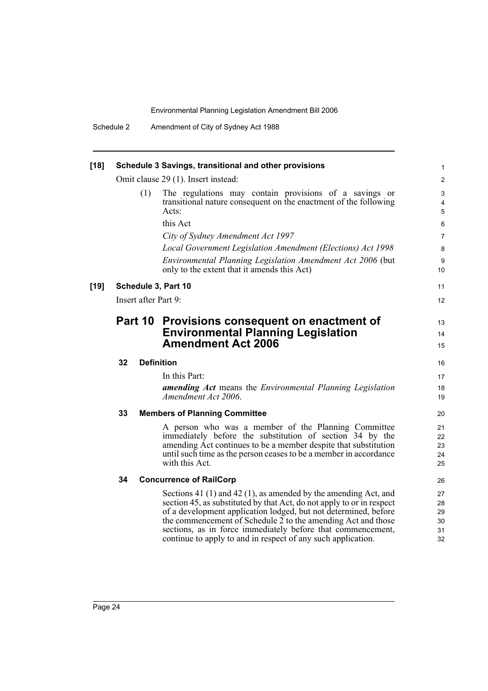| $[18]$ |               |     | Schedule 3 Savings, transitional and other provisions                                                                                                                                                                                                                                                                                                                                                           | 1                                |  |  |
|--------|---------------|-----|-----------------------------------------------------------------------------------------------------------------------------------------------------------------------------------------------------------------------------------------------------------------------------------------------------------------------------------------------------------------------------------------------------------------|----------------------------------|--|--|
|        |               |     | Omit clause 29 (1). Insert instead:                                                                                                                                                                                                                                                                                                                                                                             | $\overline{c}$                   |  |  |
|        |               | (1) | The regulations may contain provisions of a savings or<br>transitional nature consequent on the enactment of the following<br>Acts:                                                                                                                                                                                                                                                                             | 3<br>4<br>5                      |  |  |
|        |               |     | this Act                                                                                                                                                                                                                                                                                                                                                                                                        | 6                                |  |  |
|        |               |     | City of Sydney Amendment Act 1997                                                                                                                                                                                                                                                                                                                                                                               | 7                                |  |  |
|        |               |     | Local Government Legislation Amendment (Elections) Act 1998                                                                                                                                                                                                                                                                                                                                                     | 8                                |  |  |
|        |               |     | Environmental Planning Legislation Amendment Act 2006 (but<br>only to the extent that it amends this Act)                                                                                                                                                                                                                                                                                                       | 9<br>10                          |  |  |
| $[19]$ |               |     | Schedule 3, Part 10                                                                                                                                                                                                                                                                                                                                                                                             | 11                               |  |  |
|        |               |     | Insert after Part 9:                                                                                                                                                                                                                                                                                                                                                                                            |                                  |  |  |
|        | Part 10<br>32 |     | Provisions consequent on enactment of<br><b>Environmental Planning Legislation</b><br><b>Amendment Act 2006</b>                                                                                                                                                                                                                                                                                                 |                                  |  |  |
|        |               |     | <b>Definition</b>                                                                                                                                                                                                                                                                                                                                                                                               | 16                               |  |  |
|        |               |     | In this Part:<br><b>amending Act</b> means the <i>Environmental Planning Legislation</i><br>Amendment Act 2006.                                                                                                                                                                                                                                                                                                 | 17<br>18<br>19                   |  |  |
|        | 33            |     | <b>Members of Planning Committee</b>                                                                                                                                                                                                                                                                                                                                                                            | 20                               |  |  |
|        |               |     | A person who was a member of the Planning Committee<br>immediately before the substitution of section 34 by the<br>amending Act continues to be a member despite that substitution<br>until such time as the person ceases to be a member in accordance<br>with this Act.                                                                                                                                       | 21<br>22<br>23<br>24<br>25       |  |  |
|        | 34            |     | <b>Concurrence of RailCorp</b>                                                                                                                                                                                                                                                                                                                                                                                  | 26                               |  |  |
|        |               |     | Sections 41 $(1)$ and 42 $(1)$ , as amended by the amending Act, and<br>section 45, as substituted by that Act, do not apply to or in respect<br>of a development application lodged, but not determined, before<br>the commencement of Schedule 2 to the amending Act and those<br>sections, as in force immediately before that commencement,<br>continue to apply to and in respect of any such application. | 27<br>28<br>29<br>30<br>31<br>32 |  |  |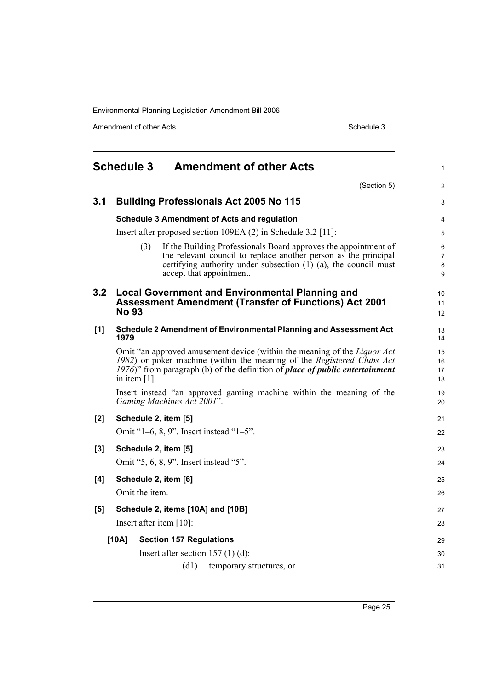Amendment of other Acts Schedule 3

<span id="page-26-0"></span>

|       |                                                                           | <b>Schedule 3 Amendment of other Acts</b>                                                                                                                                                                                                        | 1                             |  |  |  |
|-------|---------------------------------------------------------------------------|--------------------------------------------------------------------------------------------------------------------------------------------------------------------------------------------------------------------------------------------------|-------------------------------|--|--|--|
|       |                                                                           | (Section 5)                                                                                                                                                                                                                                      | 2                             |  |  |  |
| 3.1   |                                                                           | <b>Building Professionals Act 2005 No 115</b>                                                                                                                                                                                                    | 3                             |  |  |  |
|       |                                                                           | <b>Schedule 3 Amendment of Acts and regulation</b>                                                                                                                                                                                               | 4                             |  |  |  |
|       |                                                                           | Insert after proposed section 109EA $(2)$ in Schedule 3.2 [11]:                                                                                                                                                                                  | 5                             |  |  |  |
|       |                                                                           | If the Building Professionals Board approves the appointment of<br>(3)<br>the relevant council to replace another person as the principal<br>certifying authority under subsection $(1)$ $(a)$ , the council must<br>accept that appointment.    | 6<br>$\overline{7}$<br>8<br>9 |  |  |  |
| 3.2   | <b>No 93</b>                                                              | <b>Local Government and Environmental Planning and</b><br><b>Assessment Amendment (Transfer of Functions) Act 2001</b>                                                                                                                           | 10<br>11<br>12                |  |  |  |
| [1]   | Schedule 2 Amendment of Environmental Planning and Assessment Act<br>1979 |                                                                                                                                                                                                                                                  |                               |  |  |  |
|       | in item $[1]$ .                                                           | Omit "an approved amusement device (within the meaning of the <i>Liquor Act</i><br>1982) or poker machine (within the meaning of the Registered Clubs Act<br>1976)" from paragraph (b) of the definition of <i>place of public entertainment</i> | 15<br>16<br>17<br>18          |  |  |  |
|       |                                                                           | Insert instead "an approved gaming machine within the meaning of the<br>Gaming Machines Act 2001".                                                                                                                                               | 19<br>20                      |  |  |  |
| [2]   |                                                                           | Schedule 2, item [5]                                                                                                                                                                                                                             | 21                            |  |  |  |
|       |                                                                           | Omit "1–6, 8, 9". Insert instead "1–5".                                                                                                                                                                                                          | 22                            |  |  |  |
| $[3]$ | Schedule 2, item [5]                                                      |                                                                                                                                                                                                                                                  |                               |  |  |  |
|       | Omit "5, 6, 8, 9". Insert instead "5".                                    |                                                                                                                                                                                                                                                  |                               |  |  |  |
| [4]   | Schedule 2, item [6]                                                      |                                                                                                                                                                                                                                                  |                               |  |  |  |
|       | Omit the item.                                                            |                                                                                                                                                                                                                                                  |                               |  |  |  |
| [5]   |                                                                           | Schedule 2, items [10A] and [10B]                                                                                                                                                                                                                | 27                            |  |  |  |
|       |                                                                           | Insert after item $[10]$ :                                                                                                                                                                                                                       | 28                            |  |  |  |
|       | [10A]                                                                     | <b>Section 157 Regulations</b>                                                                                                                                                                                                                   | 29                            |  |  |  |
|       |                                                                           | Insert after section 157 $(1)$ $(d)$ :                                                                                                                                                                                                           | 30                            |  |  |  |
|       |                                                                           | (d1)<br>temporary structures, or                                                                                                                                                                                                                 | 31                            |  |  |  |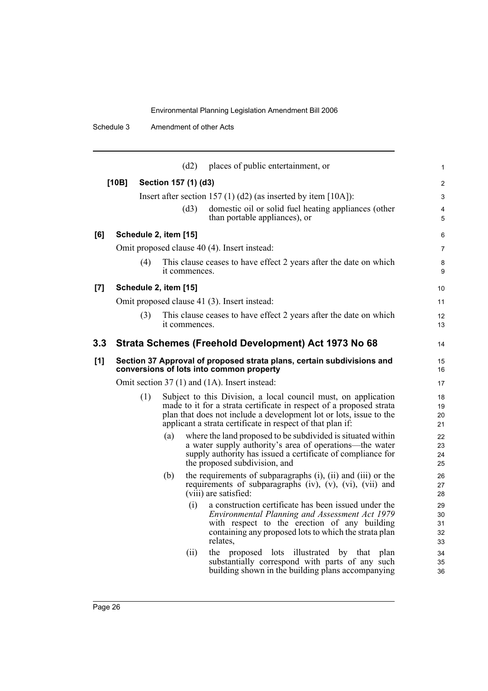|                    |                                              |                       |                      | (d2)          | places of public entertainment, or                                                                                                                                                                                                                                        | $\mathbf{1}$               |
|--------------------|----------------------------------------------|-----------------------|----------------------|---------------|---------------------------------------------------------------------------------------------------------------------------------------------------------------------------------------------------------------------------------------------------------------------------|----------------------------|
|                    | [10B]                                        |                       | Section 157 (1) (d3) |               |                                                                                                                                                                                                                                                                           | 2                          |
|                    |                                              |                       |                      |               | Insert after section 157 (1) (d2) (as inserted by item [10A]):                                                                                                                                                                                                            | 3                          |
|                    |                                              |                       |                      | (d3)          | domestic oil or solid fuel heating appliances (other<br>than portable appliances), or                                                                                                                                                                                     | $\overline{4}$<br>5        |
| [6]                |                                              | Schedule 2, item [15] |                      |               |                                                                                                                                                                                                                                                                           | 6                          |
|                    |                                              |                       |                      |               | Omit proposed clause 40 (4). Insert instead:                                                                                                                                                                                                                              | $\overline{7}$             |
|                    |                                              | (4)                   |                      | it commences. | This clause ceases to have effect 2 years after the date on which                                                                                                                                                                                                         | 8<br>9                     |
| $\left[ 7 \right]$ |                                              | Schedule 2, item [15] |                      |               |                                                                                                                                                                                                                                                                           | 10                         |
|                    | Omit proposed clause 41 (3). Insert instead: |                       |                      |               |                                                                                                                                                                                                                                                                           |                            |
|                    |                                              | (3)                   |                      | it commences. | This clause ceases to have effect 2 years after the date on which                                                                                                                                                                                                         | 12<br>13                   |
| 3.3                |                                              |                       |                      |               | Strata Schemes (Freehold Development) Act 1973 No 68                                                                                                                                                                                                                      | 14                         |
| [1]                |                                              |                       |                      |               | Section 37 Approval of proposed strata plans, certain subdivisions and<br>conversions of lots into common property                                                                                                                                                        | 15<br>16                   |
|                    |                                              |                       |                      |               | Omit section 37 (1) and (1A). Insert instead:                                                                                                                                                                                                                             | 17                         |
|                    |                                              | (1)                   |                      |               | Subject to this Division, a local council must, on application<br>made to it for a strata certificate in respect of a proposed strata<br>plan that does not include a development lot or lots, issue to the<br>applicant a strata certificate in respect of that plan if: | 18<br>19<br>20<br>21       |
|                    |                                              |                       | (a)                  |               | where the land proposed to be subdivided is situated within<br>a water supply authority's area of operations—the water<br>supply authority has issued a certificate of compliance for<br>the proposed subdivision, and                                                    | 22<br>23<br>24<br>25       |
|                    |                                              |                       | (b)                  |               | the requirements of subparagraphs (i), (ii) and (iii) or the<br>requirements of subparagraphs (iv), (v), (vi), (vii) and<br>(viii) are satisfied:                                                                                                                         | 26<br>27<br>28             |
|                    |                                              |                       |                      | (i)           | a construction certificate has been issued under the<br>Environmental Planning and Assessment Act 1979<br>with respect to the erection of any building<br>containing any proposed lots to which the strata plan<br>relates,                                               | 29<br>30<br>31<br>32<br>33 |
|                    |                                              |                       |                      | (ii)          | the proposed lots illustrated by that<br>plan<br>substantially correspond with parts of any such<br>building shown in the building plans accompanying                                                                                                                     | 34<br>35<br>36             |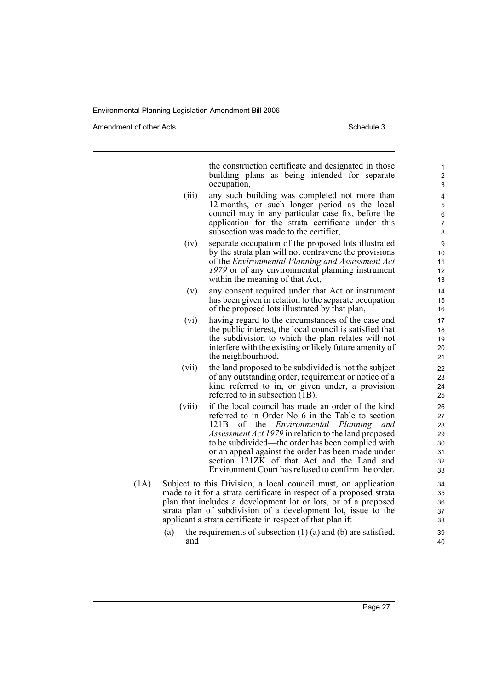Amendment of other Acts **Schedule 3** and the 3 schedule 3

the construction certificate and designated in those building plans as being intended for separate occupation,

- (iii) any such building was completed not more than 12 months, or such longer period as the local council may in any particular case fix, before the application for the strata certificate under this subsection was made to the certifier,
- (iv) separate occupation of the proposed lots illustrated by the strata plan will not contravene the provisions of the *Environmental Planning and Assessment Act 1979* or of any environmental planning instrument within the meaning of that Act,
- (v) any consent required under that Act or instrument has been given in relation to the separate occupation of the proposed lots illustrated by that plan,
- (vi) having regard to the circumstances of the case and the public interest, the local council is satisfied that the subdivision to which the plan relates will not interfere with the existing or likely future amenity of the neighbourhood,
- (vii) the land proposed to be subdivided is not the subject of any outstanding order, requirement or notice of a kind referred to in, or given under, a provision referred to in subsection (1B),
- (viii) if the local council has made an order of the kind referred to in Order No 6 in the Table to section 121B of the *Environmental Planning and Assessment Act 1979* in relation to the land proposed to be subdivided—the order has been complied with or an appeal against the order has been made under section 121ZK of that Act and the Land and Environment Court has refused to confirm the order.
- (1A) Subject to this Division, a local council must, on application made to it for a strata certificate in respect of a proposed strata plan that includes a development lot or lots, or of a proposed strata plan of subdivision of a development lot, issue to the applicant a strata certificate in respect of that plan if:
	- (a) the requirements of subsection  $(1)$  (a) and (b) are satisfied, and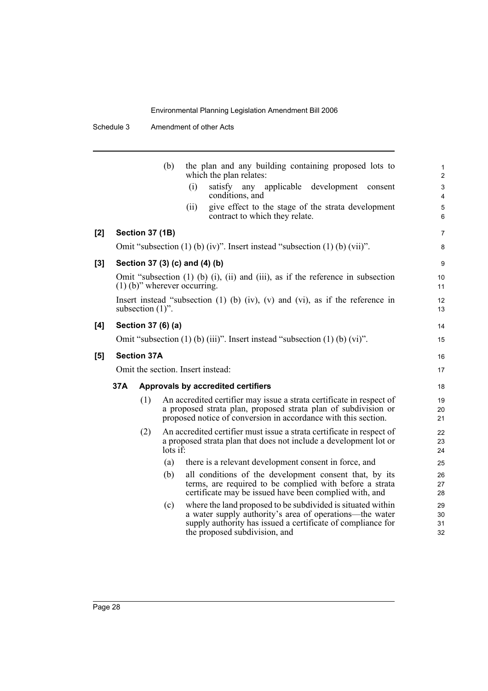Schedule 3 Amendment of other Acts

|     |     |                        | (b)          |                                   | which the plan relates:                                                              | the plan and any building containing proposed lots to                                                                                                                                                    | $\mathbf{1}$<br>$\overline{2}$ |
|-----|-----|------------------------|--------------|-----------------------------------|--------------------------------------------------------------------------------------|----------------------------------------------------------------------------------------------------------------------------------------------------------------------------------------------------------|--------------------------------|
|     |     |                        |              | (i)                               | satisfy any applicable<br>conditions, and                                            | development<br>consent                                                                                                                                                                                   | $\mathbf{3}$<br>$\overline{4}$ |
|     |     |                        |              | (i)                               | contract to which they relate.                                                       | give effect to the stage of the strata development                                                                                                                                                       | 5<br>6                         |
| [2] |     | <b>Section 37 (1B)</b> |              |                                   |                                                                                      |                                                                                                                                                                                                          | $\overline{7}$                 |
|     |     |                        |              |                                   | Omit "subsection $(1)$ (b) $(iv)$ ". Insert instead "subsection $(1)$ (b) $(vii)$ ". |                                                                                                                                                                                                          | 8                              |
| [3] |     |                        |              | Section 37 (3) (c) and (4) (b)    |                                                                                      |                                                                                                                                                                                                          | 9                              |
|     |     |                        |              | $(1)$ (b)" wherever occurring.    |                                                                                      | Omit "subsection $(1)$ $(b)$ $(i)$ , $(ii)$ and $(iii)$ , as if the reference in subsection                                                                                                              | 10<br>11                       |
|     |     | subsection $(1)$ ".    |              |                                   |                                                                                      | Insert instead "subsection $(1)$ $(b)$ $(iv)$ , $(v)$ and $(vi)$ , as if the reference in                                                                                                                | 12<br>13                       |
| [4] |     | Section 37 (6) (a)     |              |                                   |                                                                                      |                                                                                                                                                                                                          | 14                             |
|     |     |                        |              |                                   | Omit "subsection $(1)$ (b) $(iii)$ ". Insert instead "subsection $(1)$ (b) $(vi)$ ". |                                                                                                                                                                                                          | 15                             |
| [5] |     | <b>Section 37A</b>     |              |                                   |                                                                                      |                                                                                                                                                                                                          | 16                             |
|     |     |                        |              | Omit the section. Insert instead: |                                                                                      |                                                                                                                                                                                                          | 17                             |
|     | 37A |                        |              |                                   | Approvals by accredited certifiers                                                   |                                                                                                                                                                                                          | 18                             |
|     |     | (1)                    |              |                                   |                                                                                      | An accredited certifier may issue a strata certificate in respect of<br>a proposed strata plan, proposed strata plan of subdivision or<br>proposed notice of conversion in accordance with this section. | 19<br>20<br>21                 |
|     |     | (2)                    | $\log i f$ : |                                   |                                                                                      | An accredited certifier must issue a strata certificate in respect of<br>a proposed strata plan that does not include a development lot or                                                               | 22<br>23<br>24                 |
|     |     |                        | (a)          |                                   | there is a relevant development consent in force, and                                |                                                                                                                                                                                                          | 25                             |
|     |     |                        | (b)          |                                   |                                                                                      | all conditions of the development consent that, by its<br>terms, are required to be complied with before a strata<br>certificate may be issued have been complied with, and                              | 26<br>27<br>28                 |
|     |     |                        | (c)          |                                   | the proposed subdivision, and                                                        | where the land proposed to be subdivided is situated within<br>a water supply authority's area of operations-the water<br>supply authority has issued a certificate of compliance for                    | 29<br>30<br>31<br>32           |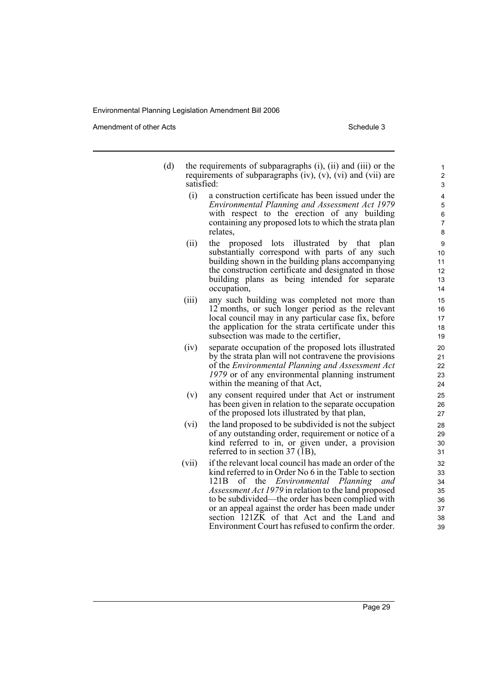Amendment of other Acts **Schedule 3** and the 3 schedule 3

| (d) | the requirements of subparagraphs (i), (ii) and (iii) or the          |
|-----|-----------------------------------------------------------------------|
|     | requirements of subparagraphs $(iv)$ , $(v)$ , $(vi)$ and $(vii)$ are |
|     | satisfied:                                                            |

- (i) a construction certificate has been issued under the *Environmental Planning and Assessment Act 1979* with respect to the erection of any building containing any proposed lots to which the strata plan relates,
- (ii) the proposed lots illustrated by that plan substantially correspond with parts of any such building shown in the building plans accompanying the construction certificate and designated in those building plans as being intended for separate occupation,
- (iii) any such building was completed not more than 12 months, or such longer period as the relevant local council may in any particular case fix, before the application for the strata certificate under this subsection was made to the certifier,
- (iv) separate occupation of the proposed lots illustrated by the strata plan will not contravene the provisions of the *Environmental Planning and Assessment Act 1979* or of any environmental planning instrument within the meaning of that Act,
- (v) any consent required under that Act or instrument has been given in relation to the separate occupation of the proposed lots illustrated by that plan,
- (vi) the land proposed to be subdivided is not the subject of any outstanding order, requirement or notice of a kind referred to in, or given under, a provision referred to in section 37 (1B),
- (vii) if the relevant local council has made an order of the kind referred to in Order No 6 in the Table to section 121B of the *Environmental Planning and Assessment Act 1979* in relation to the land proposed to be subdivided—the order has been complied with or an appeal against the order has been made under section  $121Z\overline{K}$  of that Act and the Land and Environment Court has refused to confirm the order.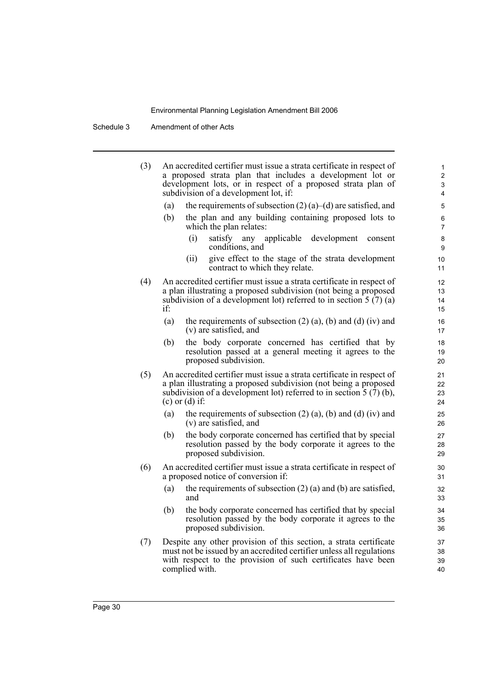Schedule 3 Amendment of other Acts

| (3) |     | An accredited certifier must issue a strata certificate in respect of<br>a proposed strata plan that includes a development lot or<br>development lots, or in respect of a proposed strata plan of<br>subdivision of a development lot, if:                        | 1<br>$\overline{2}$<br>3<br>4 |
|-----|-----|--------------------------------------------------------------------------------------------------------------------------------------------------------------------------------------------------------------------------------------------------------------------|-------------------------------|
|     | (a) | the requirements of subsection $(2)$ (a)–(d) are satisfied, and                                                                                                                                                                                                    | 5                             |
|     | (b) | the plan and any building containing proposed lots to<br>which the plan relates:                                                                                                                                                                                   | 6<br>7                        |
|     |     | applicable<br>development<br>(i)<br>satisfy any<br>consent<br>conditions, and                                                                                                                                                                                      | 8<br>9                        |
|     |     | give effect to the stage of the strata development<br>(ii)<br>contract to which they relate.                                                                                                                                                                       | 10<br>11                      |
| (4) | if: | An accredited certifier must issue a strata certificate in respect of<br>a plan illustrating a proposed subdivision (not being a proposed<br>subdivision of a development lot) referred to in section $5(7)(a)$                                                    | 12<br>13<br>14<br>15          |
|     | (a) | the requirements of subsection $(2)$ $(a)$ , $(b)$ and $(d)$ $(iv)$ and<br>(v) are satisfied, and                                                                                                                                                                  | 16<br>17                      |
|     | (b) | the body corporate concerned has certified that by<br>resolution passed at a general meeting it agrees to the<br>proposed subdivision.                                                                                                                             | 18<br>19<br>20                |
| (5) |     | An accredited certifier must issue a strata certificate in respect of<br>a plan illustrating a proposed subdivision (not being a proposed<br>subdivision of a development lot) referred to in section $\overline{5}$ ( $\overline{7}$ ) (b),<br>$(c)$ or $(d)$ if: | 21<br>22<br>23<br>24          |
|     | (a) | the requirements of subsection $(2)$ $(a)$ , $(b)$ and $(d)$ $(iv)$ and<br>(v) are satisfied, and                                                                                                                                                                  | 25<br>26                      |
|     | (b) | the body corporate concerned has certified that by special<br>resolution passed by the body corporate it agrees to the<br>proposed subdivision.                                                                                                                    | 27<br>28<br>29                |
| (6) |     | An accredited certifier must issue a strata certificate in respect of<br>a proposed notice of conversion if:                                                                                                                                                       | 30<br>31                      |
|     | (a) | the requirements of subsection $(2)$ (a) and (b) are satisfied,<br>and                                                                                                                                                                                             | 32<br>33                      |
|     | (b) | the body corporate concerned has certified that by special<br>resolution passed by the body corporate it agrees to the<br>proposed subdivision.                                                                                                                    | 34<br>35<br>36                |
| (7) |     | Despite any other provision of this section, a strata certificate<br>must not be issued by an accredited certifier unless all regulations<br>with respect to the provision of such certificates have been<br>complied with.                                        | 37<br>38<br>39<br>40          |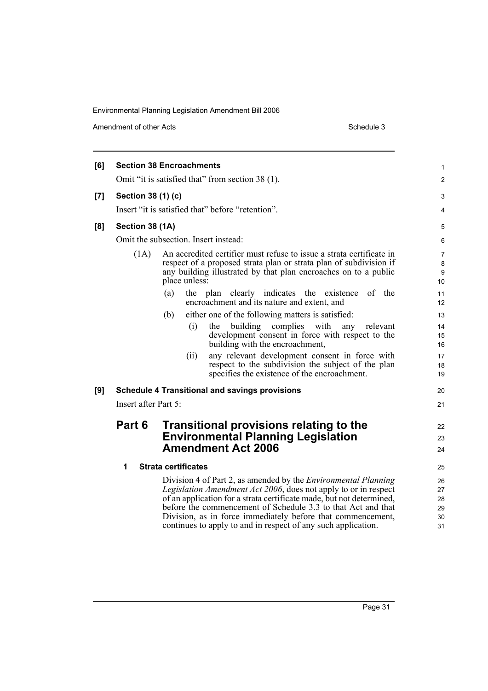Amendment of other Acts Schedule 3

| [6]<br><b>Section 38 Encroachments</b><br>Omit "it is satisfied that" from section 38 (1).<br>Section 38 (1) (c)<br>[7]<br>Insert "it is satisfied that" before "retention".<br>Section 38 (1A)<br>[8]<br>Omit the subsection. Insert instead:<br>An accredited certifier must refuse to issue a strata certificate in<br>(1A)<br>respect of a proposed strata plan or strata plan of subdivision if<br>any building illustrated by that plan encroaches on to a public<br>place unless:<br>(a)<br>the plan clearly indicates the existence<br>of the<br>encroachment and its nature and extent, and<br>either one of the following matters is satisfied:<br>(b)<br>complies with<br>building<br>(i)<br>the<br>relevant<br>any<br>development consent in force with respect to the<br>building with the encroachment,<br>(ii)<br>any relevant development consent in force with<br>respect to the subdivision the subject of the plan<br>specifies the existence of the encroachment.<br>[9]<br><b>Schedule 4 Transitional and savings provisions</b><br>Insert after Part 5:<br>Part 6<br><b>Transitional provisions relating to the</b><br><b>Environmental Planning Legislation</b><br><b>Amendment Act 2006</b><br><b>Strata certificates</b><br>1<br>Division 4 of Part 2, as amended by the <i>Environmental Planning</i><br><i>Legislation Amendment Act 2006</i> , does not apply to or in respect<br>of an application for a strata certificate made, but not determined,<br>before the commencement of Schedule 3.3 to that Act and that<br>Division, as in force immediately before that commencement,<br>continues to apply to and in respect of any such application. |  |                                        |
|------------------------------------------------------------------------------------------------------------------------------------------------------------------------------------------------------------------------------------------------------------------------------------------------------------------------------------------------------------------------------------------------------------------------------------------------------------------------------------------------------------------------------------------------------------------------------------------------------------------------------------------------------------------------------------------------------------------------------------------------------------------------------------------------------------------------------------------------------------------------------------------------------------------------------------------------------------------------------------------------------------------------------------------------------------------------------------------------------------------------------------------------------------------------------------------------------------------------------------------------------------------------------------------------------------------------------------------------------------------------------------------------------------------------------------------------------------------------------------------------------------------------------------------------------------------------------------------------------------------------------------------------------------------------------------|--|----------------------------------------|
|                                                                                                                                                                                                                                                                                                                                                                                                                                                                                                                                                                                                                                                                                                                                                                                                                                                                                                                                                                                                                                                                                                                                                                                                                                                                                                                                                                                                                                                                                                                                                                                                                                                                                    |  | 1                                      |
|                                                                                                                                                                                                                                                                                                                                                                                                                                                                                                                                                                                                                                                                                                                                                                                                                                                                                                                                                                                                                                                                                                                                                                                                                                                                                                                                                                                                                                                                                                                                                                                                                                                                                    |  | $\overline{2}$                         |
|                                                                                                                                                                                                                                                                                                                                                                                                                                                                                                                                                                                                                                                                                                                                                                                                                                                                                                                                                                                                                                                                                                                                                                                                                                                                                                                                                                                                                                                                                                                                                                                                                                                                                    |  | 3                                      |
|                                                                                                                                                                                                                                                                                                                                                                                                                                                                                                                                                                                                                                                                                                                                                                                                                                                                                                                                                                                                                                                                                                                                                                                                                                                                                                                                                                                                                                                                                                                                                                                                                                                                                    |  | 4                                      |
|                                                                                                                                                                                                                                                                                                                                                                                                                                                                                                                                                                                                                                                                                                                                                                                                                                                                                                                                                                                                                                                                                                                                                                                                                                                                                                                                                                                                                                                                                                                                                                                                                                                                                    |  | 5                                      |
|                                                                                                                                                                                                                                                                                                                                                                                                                                                                                                                                                                                                                                                                                                                                                                                                                                                                                                                                                                                                                                                                                                                                                                                                                                                                                                                                                                                                                                                                                                                                                                                                                                                                                    |  | 6                                      |
|                                                                                                                                                                                                                                                                                                                                                                                                                                                                                                                                                                                                                                                                                                                                                                                                                                                                                                                                                                                                                                                                                                                                                                                                                                                                                                                                                                                                                                                                                                                                                                                                                                                                                    |  | 7<br>8<br>$\boldsymbol{9}$<br>10<br>11 |
|                                                                                                                                                                                                                                                                                                                                                                                                                                                                                                                                                                                                                                                                                                                                                                                                                                                                                                                                                                                                                                                                                                                                                                                                                                                                                                                                                                                                                                                                                                                                                                                                                                                                                    |  | 12                                     |
|                                                                                                                                                                                                                                                                                                                                                                                                                                                                                                                                                                                                                                                                                                                                                                                                                                                                                                                                                                                                                                                                                                                                                                                                                                                                                                                                                                                                                                                                                                                                                                                                                                                                                    |  | 13                                     |
|                                                                                                                                                                                                                                                                                                                                                                                                                                                                                                                                                                                                                                                                                                                                                                                                                                                                                                                                                                                                                                                                                                                                                                                                                                                                                                                                                                                                                                                                                                                                                                                                                                                                                    |  | 14<br>15<br>16                         |
|                                                                                                                                                                                                                                                                                                                                                                                                                                                                                                                                                                                                                                                                                                                                                                                                                                                                                                                                                                                                                                                                                                                                                                                                                                                                                                                                                                                                                                                                                                                                                                                                                                                                                    |  | 17<br>18<br>19                         |
|                                                                                                                                                                                                                                                                                                                                                                                                                                                                                                                                                                                                                                                                                                                                                                                                                                                                                                                                                                                                                                                                                                                                                                                                                                                                                                                                                                                                                                                                                                                                                                                                                                                                                    |  | 20                                     |
|                                                                                                                                                                                                                                                                                                                                                                                                                                                                                                                                                                                                                                                                                                                                                                                                                                                                                                                                                                                                                                                                                                                                                                                                                                                                                                                                                                                                                                                                                                                                                                                                                                                                                    |  | 21                                     |
|                                                                                                                                                                                                                                                                                                                                                                                                                                                                                                                                                                                                                                                                                                                                                                                                                                                                                                                                                                                                                                                                                                                                                                                                                                                                                                                                                                                                                                                                                                                                                                                                                                                                                    |  | 22<br>23<br>24                         |
|                                                                                                                                                                                                                                                                                                                                                                                                                                                                                                                                                                                                                                                                                                                                                                                                                                                                                                                                                                                                                                                                                                                                                                                                                                                                                                                                                                                                                                                                                                                                                                                                                                                                                    |  | 25                                     |
|                                                                                                                                                                                                                                                                                                                                                                                                                                                                                                                                                                                                                                                                                                                                                                                                                                                                                                                                                                                                                                                                                                                                                                                                                                                                                                                                                                                                                                                                                                                                                                                                                                                                                    |  | 26<br>27<br>28<br>29<br>30<br>31       |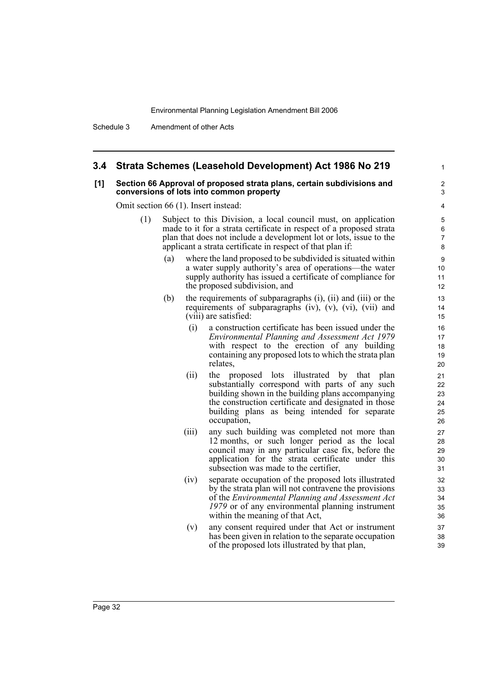### **3.4 Strata Schemes (Leasehold Development) Act 1986 No 219**

#### **[1] Section 66 Approval of proposed strata plans, certain subdivisions and conversions of lots into common property**

Omit section 66 (1). Insert instead:

- (1) Subject to this Division, a local council must, on application made to it for a strata certificate in respect of a proposed strata plan that does not include a development lot or lots, issue to the applicant a strata certificate in respect of that plan if:
	- (a) where the land proposed to be subdivided is situated within a water supply authority's area of operations—the water supply authority has issued a certificate of compliance for the proposed subdivision, and

1

- (b) the requirements of subparagraphs (i), (ii) and (iii) or the requirements of subparagraphs (iv),  $(v)$ ,  $(vi)$ ,  $(vii)$  and (viii) are satisfied:
	- (i) a construction certificate has been issued under the *Environmental Planning and Assessment Act 1979* with respect to the erection of any building containing any proposed lots to which the strata plan relates,
	- (ii) the proposed lots illustrated by that plan substantially correspond with parts of any such building shown in the building plans accompanying the construction certificate and designated in those building plans as being intended for separate occupation,
	- (iii) any such building was completed not more than 12 months, or such longer period as the local council may in any particular case fix, before the application for the strata certificate under this subsection was made to the certifier,
	- (iv) separate occupation of the proposed lots illustrated by the strata plan will not contravene the provisions of the *Environmental Planning and Assessment Act 1979* or of any environmental planning instrument within the meaning of that Act,
	- (v) any consent required under that Act or instrument has been given in relation to the separate occupation of the proposed lots illustrated by that plan,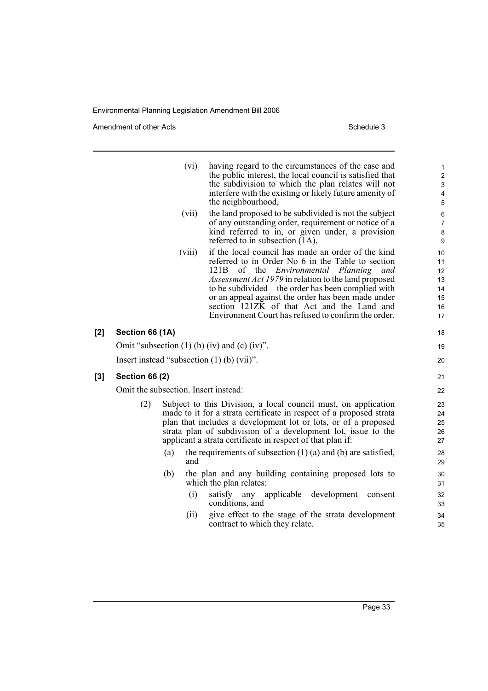Amendment of other Acts Schedule 3

|       |                                                       | (vi)                                 | having regard to the circumstances of the case and<br>the public interest, the local council is satisfied that<br>the subdivision to which the plan relates will not<br>interfere with the existing or likely future amenity of<br>the neighbourhood,                                                                                                                                                                                         | 1<br>$\overline{\mathbf{c}}$<br>$\ensuremath{\mathsf{3}}$<br>$\overline{4}$<br>$\sqrt{5}$ |
|-------|-------------------------------------------------------|--------------------------------------|-----------------------------------------------------------------------------------------------------------------------------------------------------------------------------------------------------------------------------------------------------------------------------------------------------------------------------------------------------------------------------------------------------------------------------------------------|-------------------------------------------------------------------------------------------|
|       |                                                       | (vii)                                | the land proposed to be subdivided is not the subject<br>of any outstanding order, requirement or notice of a<br>kind referred to in, or given under, a provision<br>referred to in subsection (1A),                                                                                                                                                                                                                                          | 6<br>$\overline{7}$<br>$\bf 8$<br>9                                                       |
|       |                                                       | (viii)                               | if the local council has made an order of the kind<br>referred to in Order No 6 in the Table to section<br>of the <i>Environmental Planning</i><br>121B<br>and<br><i>Assessment Act 1979</i> in relation to the land proposed<br>to be subdivided—the order has been complied with<br>or an appeal against the order has been made under<br>section 121ZK of that Act and the Land and<br>Environment Court has refused to confirm the order. | 10<br>11<br>12<br>13<br>14<br>15<br>16<br>17                                              |
| [2]   | Section 66 (1A)                                       |                                      |                                                                                                                                                                                                                                                                                                                                                                                                                                               | 18                                                                                        |
|       | Omit "subsection $(1)$ (b) $(iv)$ and $(c)$ $(iv)$ ". |                                      |                                                                                                                                                                                                                                                                                                                                                                                                                                               |                                                                                           |
|       |                                                       |                                      | Insert instead "subsection $(1)$ (b) $(vii)$ ".                                                                                                                                                                                                                                                                                                                                                                                               | 20                                                                                        |
| $[3]$ | <b>Section 66 (2)</b>                                 |                                      |                                                                                                                                                                                                                                                                                                                                                                                                                                               | 21                                                                                        |
|       |                                                       | Omit the subsection. Insert instead: |                                                                                                                                                                                                                                                                                                                                                                                                                                               | 22                                                                                        |
|       | (2)                                                   |                                      | Subject to this Division, a local council must, on application<br>made to it for a strata certificate in respect of a proposed strata<br>plan that includes a development lot or lots, or of a proposed<br>strata plan of subdivision of a development lot, issue to the<br>applicant a strata certificate in respect of that plan if:                                                                                                        | 23<br>24<br>25<br>26<br>27                                                                |
|       |                                                       | (a)<br>and                           | the requirements of subsection $(1)$ (a) and (b) are satisfied,                                                                                                                                                                                                                                                                                                                                                                               | 28<br>29                                                                                  |
|       |                                                       | (b)                                  | the plan and any building containing proposed lots to<br>which the plan relates:                                                                                                                                                                                                                                                                                                                                                              | 30<br>31                                                                                  |
|       |                                                       | (i)                                  | satisfy<br>any applicable<br>development<br>consent                                                                                                                                                                                                                                                                                                                                                                                           | 32                                                                                        |

- conditions, and (ii) give effect to the stage of the strata development
- contract to which they relate.

33 34 35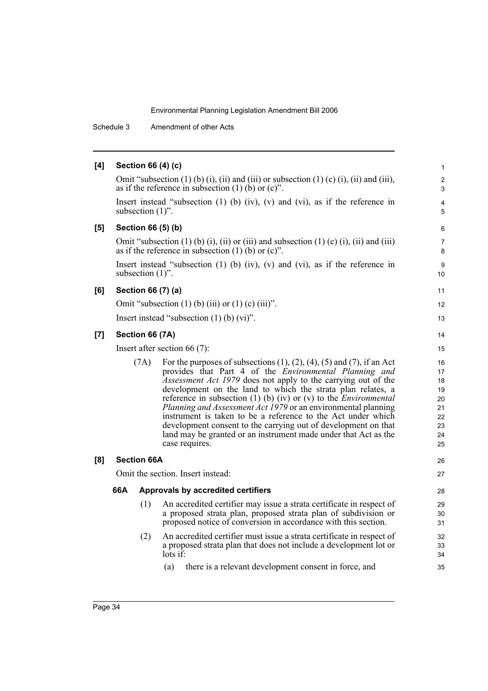Schedule 3 Amendment of other Acts

#### **[4] Section 66 (4) (c)** Omit "subsection  $(1)$  (b)  $(i)$ ,  $(ii)$  and  $(iii)$  or subsection  $(1)$  (c)  $(i)$ ,  $(ii)$  and  $(iii)$ , as if the reference in subsection  $(1)$  (b) or  $(c)$ ". Insert instead "subsection (1) (b) (iv), (v) and (vi), as if the reference in subsection  $(1)$ ". **[5] Section 66 (5) (b)** Omit "subsection  $(1)$  (b)  $(i)$ ,  $(ii)$  or  $(iii)$  and subsection  $(1)$  (c)  $(i)$ ,  $(ii)$  and  $(iii)$ as if the reference in subsection  $(1)$  (b) or  $(c)$ ". Insert instead "subsection (1) (b) (iv), (v) and (vi), as if the reference in subsection  $(1)$ ". **[6] Section 66 (7) (a)** Omit "subsection  $(1)$  (b) (iii) or  $(1)$  (c) (iii)". Insert instead "subsection (1) (b) (vi)". **[7] Section 66 (7A)** Insert after section 66 (7): (7A) For the purposes of subsections  $(1)$ ,  $(2)$ ,  $(4)$ ,  $(5)$  and  $(7)$ , if an Act provides that Part 4 of the *Environmental Planning and Assessment Act 1979* does not apply to the carrying out of the development on the land to which the strata plan relates, a reference in subsection (1) (b) (iv) or (v) to the *Environmental Planning and Assessment Act 1979* or an environmental planning instrument is taken to be a reference to the Act under which development consent to the carrying out of development on that land may be granted or an instrument made under that Act as the case requires. **[8] Section 66A** Omit the section. Insert instead: **66A Approvals by accredited certifiers** (1) An accredited certifier may issue a strata certificate in respect of a proposed strata plan, proposed strata plan of subdivision or proposed notice of conversion in accordance with this section. (2) An accredited certifier must issue a strata certificate in respect of a proposed strata plan that does not include a development lot or lots if: (a) there is a relevant development consent in force, and 1 2 3 4 5 6 7 8 9 10 11 12 13 14 15 16 17 18 19 20 21 22 23 24 25 26 27 28 29 30 31 32 33 34 35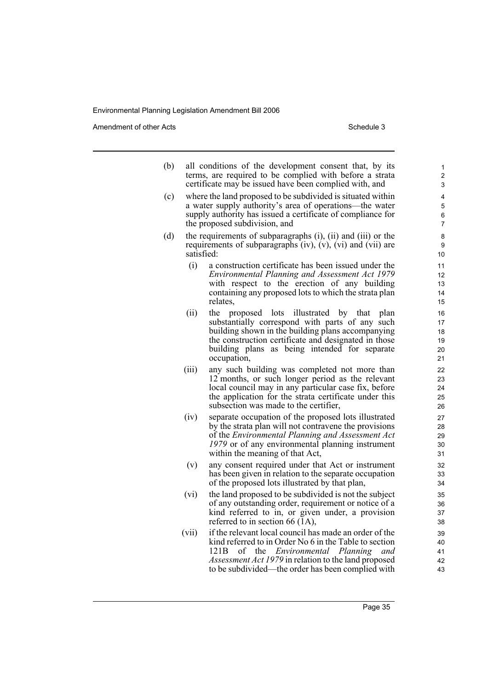Amendment of other Acts Schedule 3

| (b) |            | all conditions of the development consent that, by its<br>terms, are required to be complied with before a strata<br>certificate may be issued have been complied with, and                                                                                                                 |
|-----|------------|---------------------------------------------------------------------------------------------------------------------------------------------------------------------------------------------------------------------------------------------------------------------------------------------|
| (c) |            | where the land proposed to be subdivided is situated within<br>a water supply authority's area of operations—the water<br>supply authority has issued a certificate of compliance for<br>the proposed subdivision, and                                                                      |
| (d) | satisfied: | the requirements of subparagraphs (i), (ii) and (iii) or the<br>requirements of subparagraphs $(iv)$ , $(v)$ , $(vi)$ and $(vii)$ are                                                                                                                                                       |
|     | (i)        | a construction certificate has been issued under the<br>Environmental Planning and Assessment Act 1979<br>with respect to the erection of any building<br>containing any proposed lots to which the strata plan<br>relates,                                                                 |
|     | (ii)       | the<br>proposed lots illustrated by that<br>plan<br>substantially correspond with parts of any such<br>building shown in the building plans accompanying<br>the construction certificate and designated in those<br>building plans as being intended for separate<br>occupation,            |
|     | (iii)      | any such building was completed not more than<br>12 months, or such longer period as the relevant<br>local council may in any particular case fix, before<br>the application for the strata certificate under this<br>subsection was made to the certifier,                                 |
|     | (iv)       | separate occupation of the proposed lots illustrated<br>by the strata plan will not contravene the provisions<br>of the Environmental Planning and Assessment Act<br>1979 or of any environmental planning instrument<br>within the meaning of that Act,                                    |
|     | (v)        | any consent required under that Act or instrument<br>has been given in relation to the separate occupation<br>of the proposed lots illustrated by that plan,                                                                                                                                |
|     | (vi)       | the land proposed to be subdivided is not the subject<br>of any outstanding order, requirement or notice of a<br>kind referred to in, or given under, a provision<br>referred to in section 66 $(\hat{1}A)$ ,                                                                               |
|     | (vii)      | if the relevant local council has made an order of the<br>kind referred to in Order No 6 in the Table to section<br>121B<br>of the <i>Environmental Planning</i><br>and<br><i>Assessment Act 1979</i> in relation to the land proposed<br>to be subdivided—the order has been complied with |

Page 35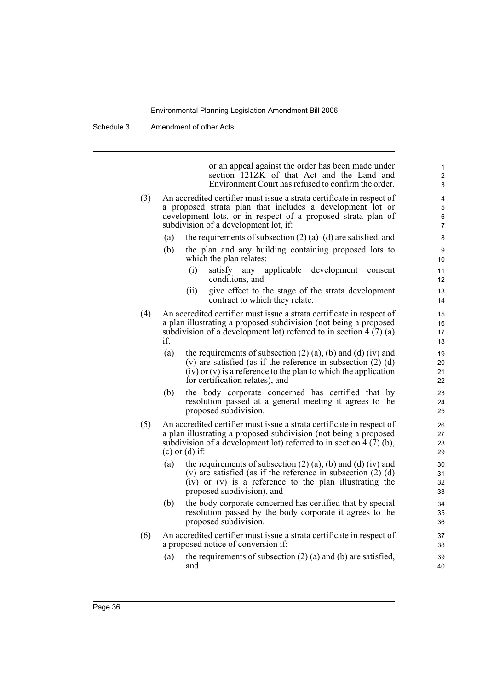Schedule 3 Amendment of other Acts

or an appeal against the order has been made under section 121ZK of that Act and the Land and Environment Court has refused to confirm the order. (3) An accredited certifier must issue a strata certificate in respect of a proposed strata plan that includes a development lot or development lots, or in respect of a proposed strata plan of subdivision of a development lot, if: (a) the requirements of subsection  $(2)$  (a)–(d) are satisfied, and (b) the plan and any building containing proposed lots to which the plan relates: (i) satisfy any applicable development consent conditions, and (ii) give effect to the stage of the strata development contract to which they relate. (4) An accredited certifier must issue a strata certificate in respect of a plan illustrating a proposed subdivision (not being a proposed subdivision of a development lot) referred to in section  $4(7)(a)$ if: (a) the requirements of subsection  $(2)$  (a), (b) and (d) (iv) and (v) are satisfied (as if the reference in subsection (2) (d) (iv) or (v) is a reference to the plan to which the application for certification relates), and (b) the body corporate concerned has certified that by resolution passed at a general meeting it agrees to the proposed subdivision. (5) An accredited certifier must issue a strata certificate in respect of a plan illustrating a proposed subdivision (not being a proposed subdivision of a development lot) referred to in section 4 (7) (b), (c) or (d) if: (a) the requirements of subsection  $(2)$  (a), (b) and (d) (iv) and (v) are satisfied (as if the reference in subsection  $(2)$  (d) (iv) or (v) is a reference to the plan illustrating the proposed subdivision), and (b) the body corporate concerned has certified that by special resolution passed by the body corporate it agrees to the proposed subdivision. (6) An accredited certifier must issue a strata certificate in respect of a proposed notice of conversion if: (a) the requirements of subsection  $(2)$  (a) and (b) are satisfied, and 1 2 3 4 5 6 7 8 9 10 11 12 13 14 15 16 17 18 19  $20$ 21 22  $23$  $24$ 25 26 27 28 29 30 31 32 33 34 35 36 37 38 39 40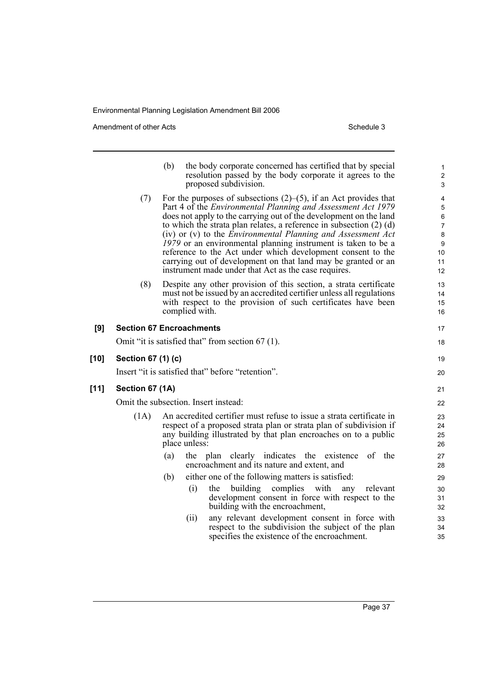Amendment of other Acts Schedule 3

**[10] Section 67 (1) (c)**

 $[11]$ 

|     |                    | the body corporate concerned has certified that by special<br>(b)<br>resolution passed by the body corporate it agrees to the<br>proposed subdivision.                                                                                                                                                                                                                                                                                                                                                                                                                                                                       | $\mathbf{1}$<br>$\overline{\mathbf{c}}$<br>3                    |
|-----|--------------------|------------------------------------------------------------------------------------------------------------------------------------------------------------------------------------------------------------------------------------------------------------------------------------------------------------------------------------------------------------------------------------------------------------------------------------------------------------------------------------------------------------------------------------------------------------------------------------------------------------------------------|-----------------------------------------------------------------|
|     | (7)                | For the purposes of subsections $(2)$ – $(5)$ , if an Act provides that<br>Part 4 of the <i>Environmental Planning and Assessment Act 1979</i><br>does not apply to the carrying out of the development on the land<br>to which the strata plan relates, a reference in subsection $(2)$ (d)<br>(iv) or (v) to the <i>Environmental Planning and Assessment Act</i><br>1979 or an environmental planning instrument is taken to be a<br>reference to the Act under which development consent to the<br>carrying out of development on that land may be granted or an<br>instrument made under that Act as the case requires. | 4<br>5<br>6<br>$\overline{7}$<br>$\bf 8$<br>9<br>10<br>11<br>12 |
|     | (8)                | Despite any other provision of this section, a strata certificate<br>must not be issued by an accredited certifier unless all regulations<br>with respect to the provision of such certificates have been<br>complied with.                                                                                                                                                                                                                                                                                                                                                                                                  | 13<br>14<br>15<br>16                                            |
| [9] |                    | <b>Section 67 Encroachments</b>                                                                                                                                                                                                                                                                                                                                                                                                                                                                                                                                                                                              | 17                                                              |
|     |                    | Omit "it is satisfied that" from section 67 (1).                                                                                                                                                                                                                                                                                                                                                                                                                                                                                                                                                                             | 18                                                              |
| 10] | Section 67 (1) (c) |                                                                                                                                                                                                                                                                                                                                                                                                                                                                                                                                                                                                                              | 19                                                              |
|     |                    | Insert "it is satisfied that" before "retention".                                                                                                                                                                                                                                                                                                                                                                                                                                                                                                                                                                            | 20                                                              |
| 11] | Section 67 (1A)    |                                                                                                                                                                                                                                                                                                                                                                                                                                                                                                                                                                                                                              | 21                                                              |
|     |                    | Omit the subsection. Insert instead:                                                                                                                                                                                                                                                                                                                                                                                                                                                                                                                                                                                         | 22                                                              |
|     | (1A)               | An accredited certifier must refuse to issue a strata certificate in<br>respect of a proposed strata plan or strata plan of subdivision if<br>any building illustrated by that plan encroaches on to a public<br>place unless:                                                                                                                                                                                                                                                                                                                                                                                               | 23<br>24<br>25<br>26                                            |
|     |                    | clearly indicates the<br>of the<br>(a)<br>the plan<br>existence<br>encroachment and its nature and extent, and                                                                                                                                                                                                                                                                                                                                                                                                                                                                                                               | 27<br>28                                                        |
|     |                    | (b)<br>either one of the following matters is satisfied:                                                                                                                                                                                                                                                                                                                                                                                                                                                                                                                                                                     | 29                                                              |
|     |                    | building<br>with<br>(i)<br>the<br>complies<br>any<br>relevant<br>development consent in force with respect to the<br>building with the encroachment,                                                                                                                                                                                                                                                                                                                                                                                                                                                                         | 30<br>31<br>32                                                  |
|     |                    | any relevant development consent in force with<br>(ii)<br>respect to the subdivision the subject of the plan<br>specifies the existence of the encroachment.                                                                                                                                                                                                                                                                                                                                                                                                                                                                 | 33<br>34<br>35                                                  |